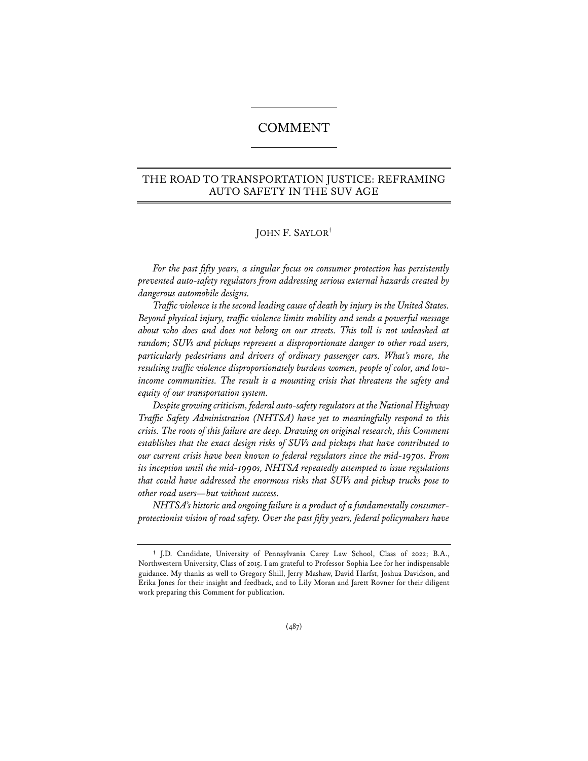# COMMENT

# THE ROAD TO TRANSPORTATION JUSTICE: REFRAMING AUTO SAFETY IN THE SUV AGE

# JOHN F. SAYLOR†

*For the past fifty years, a singular focus on consumer protection has persistently prevented auto-safety regulators from addressing serious external hazards created by dangerous automobile designs.*

*Traffic violence is the second leading cause of death by injury in the United States. Beyond physical injury, traffic violence limits mobility and sends a powerful message about who does and does not belong on our streets. This toll is not unleashed at random; SUVs and pickups represent a disproportionate danger to other road users, particularly pedestrians and drivers of ordinary passenger cars. What's more, the resulting traffic violence disproportionately burdens women, people of color, and lowincome communities. The result is a mounting crisis that threatens the safety and equity of our transportation system.*

*Despite growing criticism, federal auto-safety regulators at the National Highway Traffic Safety Administration (NHTSA) have yet to meaningfully respond to this crisis. The roots of this failure are deep. Drawing on original research, this Comment establishes that the exact design risks of SUVs and pickups that have contributed to our current crisis have been known to federal regulators since the mid-1970s. From its inception until the mid-1990s, NHTSA repeatedly attempted to issue regulations that could have addressed the enormous risks that SUVs and pickup trucks pose to other road users—but without success.*

*NHTSA's historic and ongoing failure is a product of a fundamentally consumerprotectionist vision of road safety. Over the past fifty years, federal policymakers have* 

**<sup>†</sup>** J.D. Candidate, University of Pennsylvania Carey Law School, Class of 2022; B.A., Northwestern University, Class of 2015. I am grateful to Professor Sophia Lee for her indispensable guidance. My thanks as well to Gregory Shill, Jerry Mashaw, David Harfst, Joshua Davidson, and Erika Jones for their insight and feedback, and to Lily Moran and Jarett Rovner for their diligent work preparing this Comment for publication.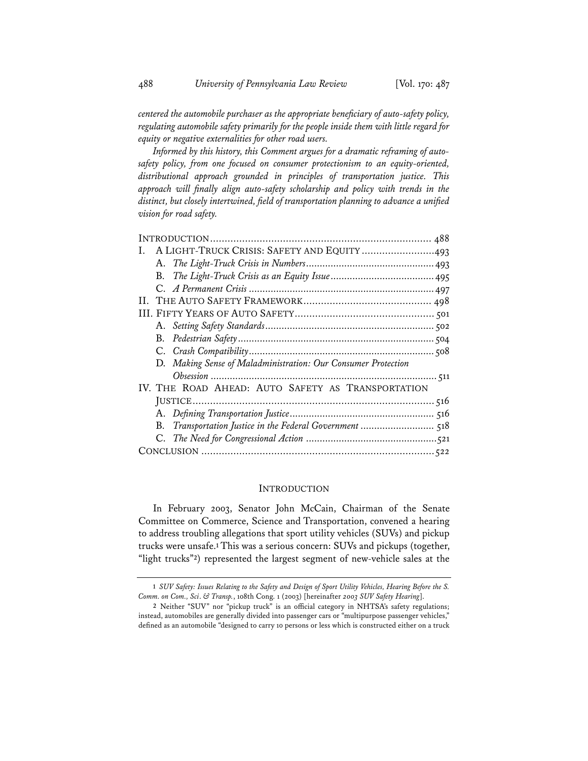*centered the automobile purchaser as the appropriate beneficiary of auto-safety policy, regulating automobile safety primarily for the people inside them with little regard for equity or negative externalities for other road users.*

*Informed by this history, this Comment argues for a dramatic reframing of autosafety policy, from one focused on consumer protectionism to an equity-oriented, distributional approach grounded in principles of transportation justice. This approach will finally align auto-safety scholarship and policy with trends in the distinct, but closely intertwined, field of transportation planning to advance a unified vision for road safety.*

| I. A LIGHT-TRUCK CRISIS: SAFETY AND EQUITY 493 |
|------------------------------------------------|
|                                                |
|                                                |
|                                                |
|                                                |
|                                                |
|                                                |
|                                                |
|                                                |
|                                                |
|                                                |
|                                                |
|                                                |
|                                                |
|                                                |
|                                                |
|                                                |
|                                                |

#### INTRODUCTION

In February 2003, Senator John McCain, Chairman of the Senate Committee on Commerce, Science and Transportation, convened a hearing to address troubling allegations that sport utility vehicles (SUVs) and pickup trucks were unsafe.**<sup>1</sup>** This was a serious concern: SUVs and pickups (together, "light trucks"**2**) represented the largest segment of new-vehicle sales at the

**<sup>1</sup>** *SUV Safety: Issues Relating to the Safety and Design of Sport Utility Vehicles, Hearing Before the S. Comm. on Com., Sci*. *& Transp.*, 108th Cong. 1 (2003) [hereinafter *2003 SUV Safety Hearing*].

**<sup>2</sup>** Neither "SUV" nor "pickup truck" is an official category in NHTSA's safety regulations; instead, automobiles are generally divided into passenger cars or "multipurpose passenger vehicles," defined as an automobile "designed to carry 10 persons or less which is constructed either on a truck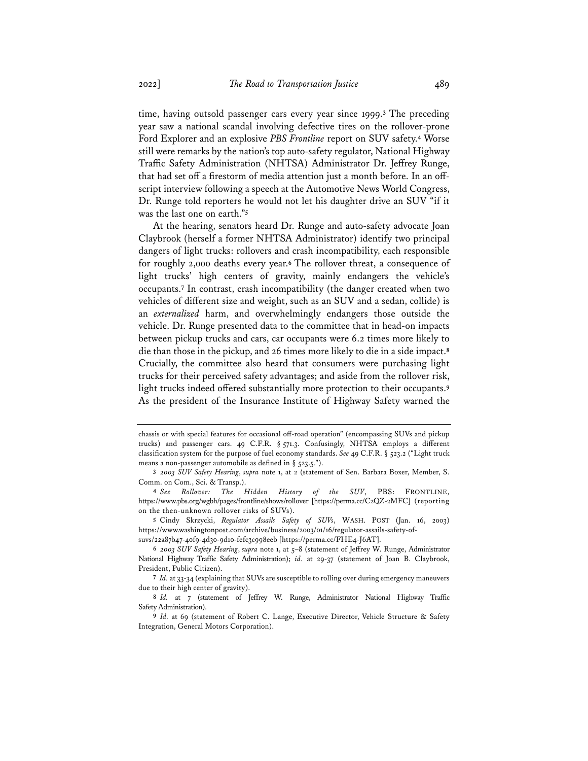time, having outsold passenger cars every year since 1999.**<sup>3</sup>** The preceding year saw a national scandal involving defective tires on the rollover-prone Ford Explorer and an explosive *PBS Frontline* report on SUV safety.**<sup>4</sup>** Worse still were remarks by the nation's top auto-safety regulator, National Highway Traffic Safety Administration (NHTSA) Administrator Dr. Jeffrey Runge, that had set off a firestorm of media attention just a month before. In an offscript interview following a speech at the Automotive News World Congress, Dr. Runge told reporters he would not let his daughter drive an SUV "if it was the last one on earth."**<sup>5</sup>**

At the hearing, senators heard Dr. Runge and auto-safety advocate Joan Claybrook (herself a former NHTSA Administrator) identify two principal dangers of light trucks: rollovers and crash incompatibility, each responsible for roughly 2,000 deaths every year.**<sup>6</sup>** The rollover threat, a consequence of light trucks' high centers of gravity, mainly endangers the vehicle's occupants.**<sup>7</sup>** In contrast, crash incompatibility (the danger created when two vehicles of different size and weight, such as an SUV and a sedan, collide) is an *externalized* harm, and overwhelmingly endangers those outside the vehicle. Dr. Runge presented data to the committee that in head-on impacts between pickup trucks and cars, car occupants were 6.2 times more likely to die than those in the pickup, and 26 times more likely to die in a side impact.**<sup>8</sup>** Crucially, the committee also heard that consumers were purchasing light trucks for their perceived safety advantages; and aside from the rollover risk, light trucks indeed offered substantially more protection to their occupants.**<sup>9</sup>** As the president of the Insurance Institute of Highway Safety warned the

**5** Cindy Skrzycki, *Regulator Assails Safety of SUVs*, WASH. POST (Jan. 16, 2003) https://www.washingtonpost.com/archive/business/2003/01/16/regulator-assails-safety-ofsuvs/22a87b47-40f9-4d30-9d10-fefc3c998eeb [https://perma.cc/FHE4-J6AT].

chassis or with special features for occasional off-road operation" (encompassing SUVs and pickup trucks) and passenger cars. 49 C.F.R. § 571.3. Confusingly, NHTSA employs a different classification system for the purpose of fuel economy standards. *See* 49 C.F.R. § 523.2 ("Light truck means a non-passenger automobile as defined in § 523.5.").

**<sup>3</sup>** *2003 SUV Safety Hearing*, *supra* note 1, at 2 (statement of Sen. Barbara Boxer, Member, S. Comm. on Com., Sci. & Transp.).

**<sup>4</sup>** *See Rollover: The Hidden History of the SUV*, PBS: FRONTLINE, https://www.pbs.org/wgbh/pages/frontline/shows/rollover [https://perma.cc/C2QZ-2MFC] (reporting on the then-unknown rollover risks of SUVs).

**<sup>6</sup>** *2003 SUV Safety Hearing*, *supra* note 1, at 5–8 (statement of Jeffrey W. Runge, Administrator National Highway Traffic Safety Administration); *id.* at 29-37 (statement of Joan B. Claybrook, President, Public Citizen).

**<sup>7</sup>** *Id.* at 33-34 (explaining that SUVs are susceptible to rolling over during emergency maneuvers due to their high center of gravity).

**<sup>8</sup>** *Id.* at 7 (statement of Jeffrey W. Runge, Administrator National Highway Traffic Safety Administration).

**<sup>9</sup>** *Id.* at 69 (statement of Robert C. Lange, Executive Director, Vehicle Structure & Safety Integration, General Motors Corporation).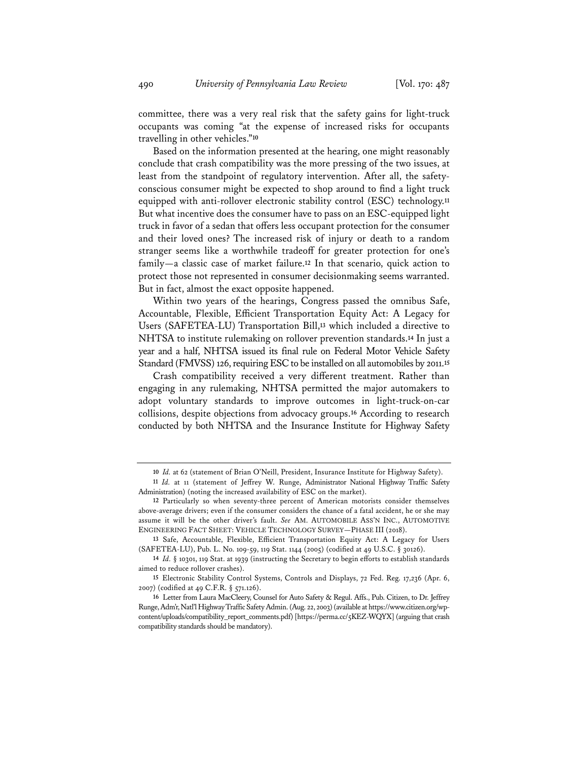committee, there was a very real risk that the safety gains for light-truck occupants was coming "at the expense of increased risks for occupants travelling in other vehicles."**<sup>10</sup>**

Based on the information presented at the hearing, one might reasonably conclude that crash compatibility was the more pressing of the two issues, at least from the standpoint of regulatory intervention. After all, the safetyconscious consumer might be expected to shop around to find a light truck equipped with anti-rollover electronic stability control (ESC) technology.**<sup>11</sup>** But what incentive does the consumer have to pass on an ESC-equipped light truck in favor of a sedan that offers less occupant protection for the consumer and their loved ones? The increased risk of injury or death to a random stranger seems like a worthwhile tradeoff for greater protection for one's family—a classic case of market failure.**<sup>12</sup>** In that scenario, quick action to protect those not represented in consumer decisionmaking seems warranted. But in fact, almost the exact opposite happened.

Within two years of the hearings, Congress passed the omnibus Safe, Accountable, Flexible, Efficient Transportation Equity Act: A Legacy for Users (SAFETEA-LU) Transportation Bill,**<sup>13</sup>** which included a directive to NHTSA to institute rulemaking on rollover prevention standards.**<sup>14</sup>** In just a year and a half, NHTSA issued its final rule on Federal Motor Vehicle Safety Standard (FMVSS) 126, requiring ESC to be installed on all automobiles by 2011.**<sup>15</sup>**

Crash compatibility received a very different treatment. Rather than engaging in any rulemaking, NHTSA permitted the major automakers to adopt voluntary standards to improve outcomes in light-truck-on-car collisions, despite objections from advocacy groups.**<sup>16</sup>** According to research conducted by both NHTSA and the Insurance Institute for Highway Safety

**<sup>10</sup>** *Id.* at 62 (statement of Brian O'Neill, President, Insurance Institute for Highway Safety).

**<sup>11</sup>** *Id.* at 11 (statement of Jeffrey W. Runge, Administrator National Highway Traffic Safety Administration) (noting the increased availability of ESC on the market).

**<sup>12</sup>** Particularly so when seventy-three percent of American motorists consider themselves above-average drivers; even if the consumer considers the chance of a fatal accident, he or she may assume it will be the other driver's fault. *See* AM. AUTOMOBILE ASS'N INC., AUTOMOTIVE ENGINEERING FACT SHEET: VEHICLE TECHNOLOGY SURVEY—PHASE III (2018).

**<sup>13</sup>** Safe, Accountable, Flexible, Efficient Transportation Equity Act: A Legacy for Users (SAFETEA-LU), Pub. L. No. 109-59, 119 Stat. 1144 (2005) (codified at 49 U.S.C. § 30126).

**<sup>14</sup>** *Id.* § 10301, 119 Stat. at 1939 (instructing the Secretary to begin efforts to establish standards aimed to reduce rollover crashes).

**<sup>15</sup>** Electronic Stability Control Systems, Controls and Displays, 72 Fed. Reg. 17,236 (Apr. 6, 2007) (codified at 49 C.F.R. § 571.126).

**<sup>16</sup>** Letter from Laura MacCleery, Counsel for Auto Safety & Regul. Affs., Pub. Citizen, to Dr. Jeffrey Runge, Adm'r, Natl'l Highway Traffic Safety Admin. (Aug. 22, 2003) (available at https://www.citizen.org/wpcontent/uploads/compatibility\_report\_comments.pdf) [https://perma.cc/5KEZ-WQYX] (arguing that crash compatibility standards should be mandatory).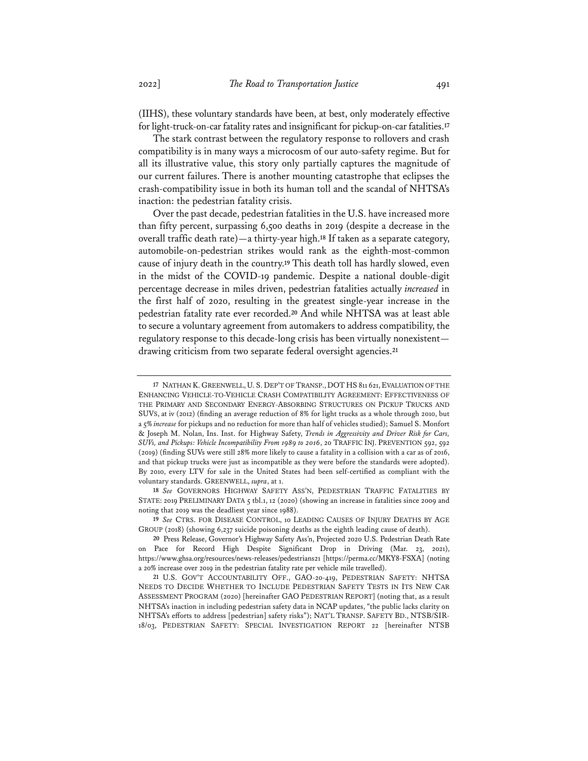(IIHS), these voluntary standards have been, at best, only moderately effective for light-truck-on-car fatality rates and insignificant for pickup-on-car fatalities.**<sup>17</sup>**

The stark contrast between the regulatory response to rollovers and crash compatibility is in many ways a microcosm of our auto-safety regime. But for all its illustrative value, this story only partially captures the magnitude of our current failures. There is another mounting catastrophe that eclipses the crash-compatibility issue in both its human toll and the scandal of NHTSA's inaction: the pedestrian fatality crisis.

Over the past decade, pedestrian fatalities in the U.S. have increased more than fifty percent, surpassing 6,500 deaths in 2019 (despite a decrease in the overall traffic death rate)—a thirty-year high.**<sup>18</sup>** If taken as a separate category, automobile-on-pedestrian strikes would rank as the eighth-most-common cause of injury death in the country.**<sup>19</sup>** This death toll has hardly slowed, even in the midst of the COVID-19 pandemic. Despite a national double-digit percentage decrease in miles driven, pedestrian fatalities actually *increased* in the first half of 2020, resulting in the greatest single-year increase in the pedestrian fatality rate ever recorded.**<sup>20</sup>** And while NHTSA was at least able to secure a voluntary agreement from automakers to address compatibility, the regulatory response to this decade-long crisis has been virtually nonexistent drawing criticism from two separate federal oversight agencies.**<sup>21</sup>**

**18** *See* GOVERNORS HIGHWAY SAFETY ASS'N, PEDESTRIAN TRAFFIC FATALITIES BY STATE: 2019 PRELIMINARY DATA 5 tbl.1, 12 (2020) (showing an increase in fatalities since 2009 and noting that 2019 was the deadliest year since 1988).

**19** *See* CTRS. FOR DISEASE CONTROL, 10 LEADING CAUSES OF INJURY DEATHS BY AGE GROUP (2018) (showing 6,237 suicide poisoning deaths as the eighth leading cause of death).

**<sup>17</sup>** NATHAN K. GREENWELL, U. S. DEP'T OF TRANSP., DOT HS 811 621, EVALUATION OF THE ENHANCING VEHICLE-TO-VEHICLE CRASH COMPATIBILITY AGREEMENT: EFFECTIVENESS OF THE PRIMARY AND SECONDARY ENERGY-ABSORBING STRUCTURES ON PICKUP TRUCKS AND SUVS, at iv (2012) (finding an average reduction of 8% for light trucks as a whole through 2010, but a 5% *increase* for pickups and no reduction for more than half of vehicles studied); Samuel S. Monfort & Joseph M. Nolan, Ins. Inst. for Highway Safety, *Trends in Aggressivity and Driver Risk for Cars, SUVs, and Pickups: Vehicle Incompatibility From 1989 to 2016*, 20 TRAFFIC INJ. PREVENTION 592, 592 (2019) (finding SUVs were still 28% more likely to cause a fatality in a collision with a car as of 2016, and that pickup trucks were just as incompatible as they were before the standards were adopted). By 2010, every LTV for sale in the United States had been self-certified as compliant with the voluntary standards. GREENWELL, *supra*, at 1.

**<sup>20</sup>** Press Release, Governor's Highway Safety Ass'n, Projected 2020 U.S. Pedestrian Death Rate on Pace for Record High Despite Significant Drop in Driving (Mar. 23, 2021), https://www.ghsa.org/resources/news-releases/pedestrians21 [https://perma.cc/MKY8-FSXA] (noting a 20% increase over 2019 in the pedestrian fatality rate per vehicle mile travelled).

**<sup>21</sup>** U.S. GOV'T ACCOUNTABILITY OFF., GAO-20-419, PEDESTRIAN SAFETY: NHTSA NEEDS TO DECIDE WHETHER TO INCLUDE PEDESTRIAN SAFETY TESTS IN ITS NEW CAR ASSESSMENT PROGRAM (2020) [hereinafter GAO PEDESTRIAN REPORT] (noting that, as a result NHTSA's inaction in including pedestrian safety data in NCAP updates, "the public lacks clarity on NHTSA's efforts to address [pedestrian] safety risks"); NAT'L TRANSP. SAFETY BD., NTSB/SIR-18/03, PEDESTRIAN SAFETY: SPECIAL INVESTIGATION REPORT 22 [hereinafter NTSB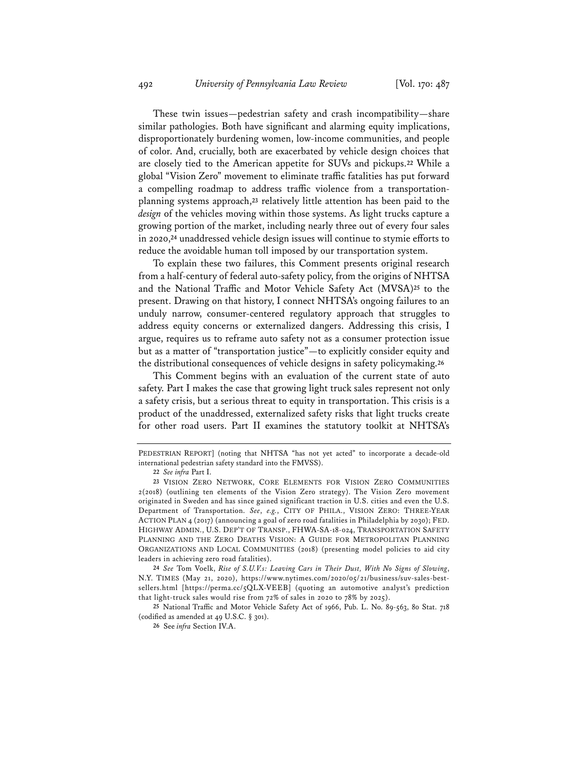These twin issues—pedestrian safety and crash incompatibility—share similar pathologies. Both have significant and alarming equity implications, disproportionately burdening women, low-income communities, and people of color. And, crucially, both are exacerbated by vehicle design choices that are closely tied to the American appetite for SUVs and pickups.**<sup>22</sup>** While a global "Vision Zero" movement to eliminate traffic fatalities has put forward a compelling roadmap to address traffic violence from a transportationplanning systems approach,**<sup>23</sup>** relatively little attention has been paid to the *design* of the vehicles moving within those systems. As light trucks capture a growing portion of the market, including nearly three out of every four sales in 2020,**<sup>24</sup>** unaddressed vehicle design issues will continue to stymie efforts to reduce the avoidable human toll imposed by our transportation system.

To explain these two failures, this Comment presents original research from a half-century of federal auto-safety policy, from the origins of NHTSA and the National Traffic and Motor Vehicle Safety Act (MVSA)**<sup>25</sup>** to the present. Drawing on that history, I connect NHTSA's ongoing failures to an unduly narrow, consumer-centered regulatory approach that struggles to address equity concerns or externalized dangers. Addressing this crisis, I argue, requires us to reframe auto safety not as a consumer protection issue but as a matter of "transportation justice"—to explicitly consider equity and the distributional consequences of vehicle designs in safety policymaking.**<sup>26</sup>**

This Comment begins with an evaluation of the current state of auto safety. Part I makes the case that growing light truck sales represent not only a safety crisis, but a serious threat to equity in transportation. This crisis is a product of the unaddressed, externalized safety risks that light trucks create for other road users. Part II examines the statutory toolkit at NHTSA's

**24** *See* Tom Voelk, *Rise of S.U.V.s: Leaving Cars in Their Dust, With No Signs of Slowing*, N.Y. TIMES (May 21, 2020), https://www.nytimes.com/2020/05/21/business/suv-sales-bestsellers.html [https://perma.cc/5QLX-VEEB] (quoting an automotive analyst's prediction that light-truck sales would rise from 72% of sales in 2020 to 78% by 2025).

**25** National Traffic and Motor Vehicle Safety Act of 1966, Pub. L. No. 89-563, 80 Stat. 718 (codified as amended at 49 U.S.C. § 301).

PEDESTRIAN REPORT] (noting that NHTSA "has not yet acted" to incorporate a decade-old international pedestrian safety standard into the FMVSS).

**<sup>22</sup>** *See infra* Part I.

**<sup>23</sup>** VISION ZERO NETWORK, CORE ELEMENTS FOR VISION ZERO COMMUNITIES 2(2018) (outlining ten elements of the Vision Zero strategy). The Vision Zero movement originated in Sweden and has since gained significant traction in U.S. cities and even the U.S. Department of Transportation. *See*, *e.g.*, CITY OF PHILA., VISION ZERO: THREE-YEAR ACTION PLAN 4 (2017) (announcing a goal of zero road fatalities in Philadelphia by 2030); FED. HIGHWAY ADMIN., U.S. DEP'T OF TRANSP., FHWA-SA-18-024, TRANSPORTATION SAFETY PLANNING AND THE ZERO DEATHS VISION: A GUIDE FOR METROPOLITAN PLANNING ORGANIZATIONS AND LOCAL COMMUNITIES (2018) (presenting model policies to aid city leaders in achieving zero road fatalities).

**<sup>26</sup>** See *infra* Section IV.A.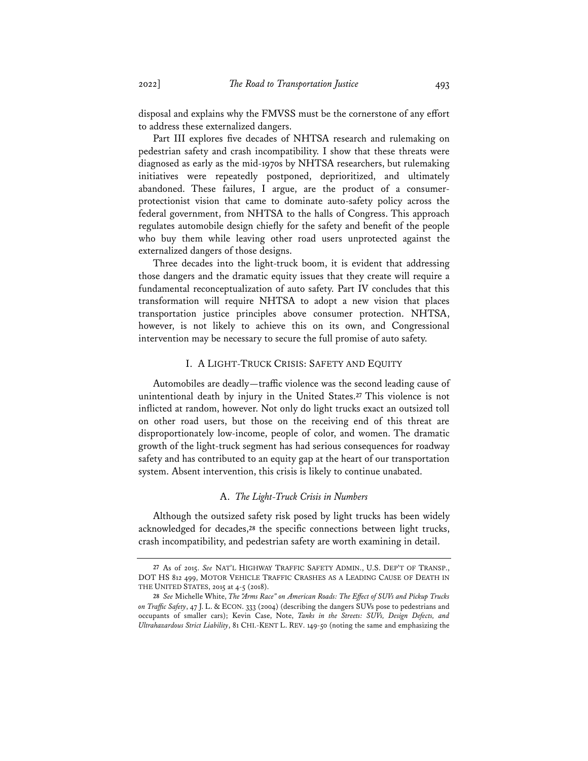disposal and explains why the FMVSS must be the cornerstone of any effort to address these externalized dangers.

Part III explores five decades of NHTSA research and rulemaking on pedestrian safety and crash incompatibility. I show that these threats were diagnosed as early as the mid-1970s by NHTSA researchers, but rulemaking initiatives were repeatedly postponed, deprioritized, and ultimately abandoned. These failures, I argue, are the product of a consumerprotectionist vision that came to dominate auto-safety policy across the federal government, from NHTSA to the halls of Congress. This approach regulates automobile design chiefly for the safety and benefit of the people who buy them while leaving other road users unprotected against the externalized dangers of those designs.

Three decades into the light-truck boom, it is evident that addressing those dangers and the dramatic equity issues that they create will require a fundamental reconceptualization of auto safety. Part IV concludes that this transformation will require NHTSA to adopt a new vision that places transportation justice principles above consumer protection. NHTSA, however, is not likely to achieve this on its own, and Congressional intervention may be necessary to secure the full promise of auto safety.

### I. A LIGHT-TRUCK CRISIS: SAFETY AND EQUITY

Automobiles are deadly—traffic violence was the second leading cause of unintentional death by injury in the United States.**<sup>27</sup>** This violence is not inflicted at random, however. Not only do light trucks exact an outsized toll on other road users, but those on the receiving end of this threat are disproportionately low-income, people of color, and women. The dramatic growth of the light-truck segment has had serious consequences for roadway safety and has contributed to an equity gap at the heart of our transportation system. Absent intervention, this crisis is likely to continue unabated.

# A. *The Light-Truck Crisis in Numbers*

Although the outsized safety risk posed by light trucks has been widely acknowledged for decades,**<sup>28</sup>** the specific connections between light trucks, crash incompatibility, and pedestrian safety are worth examining in detail.

**<sup>27</sup>** As of 2015. *See* NAT'L HIGHWAY TRAFFIC SAFETY ADMIN., U.S. DEP'T OF TRANSP., DOT HS 812 499, MOTOR VEHICLE TRAFFIC CRASHES AS A LEADING CAUSE OF DEATH IN THE UNITED STATES, 2015 at 4-5 (2018).

**<sup>28</sup>** *See* Michelle White, *The "Arms Race" on American Roads: The Effect of SUVs and Pickup Trucks on Traffic Safety*, 47 J. L. & ECON. 333 (2004) (describing the dangers SUVs pose to pedestrians and occupants of smaller cars); Kevin Case, Note, *Tanks in the Streets: SUVs, Design Defects, and Ultrahazardous Strict Liability*, 81 CHI.-KENT L. REV. 149-50 (noting the same and emphasizing the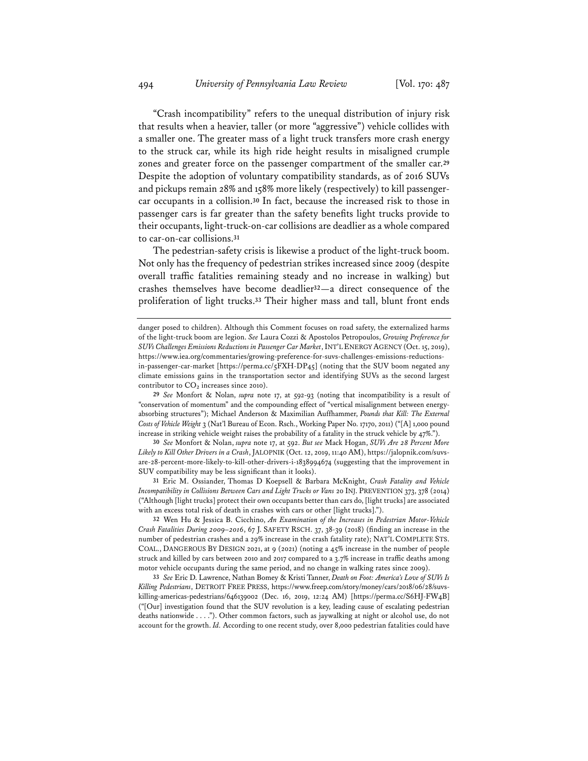"Crash incompatibility" refers to the unequal distribution of injury risk that results when a heavier, taller (or more "aggressive") vehicle collides with a smaller one. The greater mass of a light truck transfers more crash energy to the struck car, while its high ride height results in misaligned crumple zones and greater force on the passenger compartment of the smaller car.**<sup>29</sup>** Despite the adoption of voluntary compatibility standards, as of 2016 SUVs and pickups remain 28% and 158% more likely (respectively) to kill passengercar occupants in a collision.**<sup>30</sup>** In fact, because the increased risk to those in passenger cars is far greater than the safety benefits light trucks provide to their occupants, light-truck-on-car collisions are deadlier as a whole compared to car-on-car collisions.**<sup>31</sup>**

The pedestrian-safety crisis is likewise a product of the light-truck boom. Not only has the frequency of pedestrian strikes increased since 2009 (despite overall traffic fatalities remaining steady and no increase in walking) but crashes themselves have become deadlier**32**—a direct consequence of the proliferation of light trucks.**<sup>33</sup>** Their higher mass and tall, blunt front ends

**30** *See* Monfort & Nolan, *supra* note 17, at 592. *But see* Mack Hogan, *SUVs Are 28 Percent More Likely to Kill Other Drivers in a Crash*, JALOPNIK (Oct. 12, 2019, 11:40 AM), https://jalopnik.com/suvsare-28-percent-more-likely-to-kill-other-drivers-i-1838994674 (suggesting that the improvement in SUV compatibility may be less significant than it looks).

**31** Eric M. Ossiander, Thomas D Koepsell & Barbara McKnight, *Crash Fatality and Vehicle Incompatibility in Collisions Between Cars and Light Trucks or Vans* 20 INJ. PREVENTION 373, 378 (2014) ("Although [light trucks] protect their own occupants better than cars do, [light trucks] are associated with an excess total risk of death in crashes with cars or other [light trucks].").

**32** Wen Hu & Jessica B. Cicchino, *An Examination of the Increases in Pedestrian Motor-Vehicle Crash Fatalities During 2009–2016*, 67 J. SAFETY RSCH. 37, 38-39 (2018) (finding an increase in the number of pedestrian crashes and a 29% increase in the crash fatality rate); NAT'L COMPLETE STS. COAL., DANGEROUS BY DESIGN 2021, at 9 (2021) (noting a 45% increase in the number of people struck and killed by cars between 2010 and 2017 compared to a 3.7% increase in traffic deaths among motor vehicle occupants during the same period, and no change in walking rates since 2009).

**33** *See* Eric D. Lawrence, Nathan Bomey & Kristi Tanner, *Death on Foot: America's Love of SUVs Is Killing Pedestrians*, DETROIT FREE PRESS, https://www.freep.com/story/money/cars/2018/06/28/suvskilling-americas-pedestrians/646139002 (Dec. 16, 2019, 12:24 AM) [https://perma.cc/S6HJ-FW4B] ("[Our] investigation found that the SUV revolution is a key, leading cause of escalating pedestrian deaths nationwide . . . ."). Other common factors, such as jaywalking at night or alcohol use, do not account for the growth. *Id.* According to one recent study, over 8,000 pedestrian fatalities could have

danger posed to children). Although this Comment focuses on road safety, the externalized harms of the light-truck boom are legion. *See* Laura Cozzi & Apostolos Petropoulos, *Growing Preference for SUVs Challenges Emissions Reductions in Passenger Car Market*, INT'L ENERGY AGENCY (Oct. 15, 2019), https://www.iea.org/commentaries/growing-preference-for-suvs-challenges-emissions-reductionsin-passenger-car-market [https://perma.cc/5FXH-DP45] (noting that the SUV boom negated any climate emissions gains in the transportation sector and identifying SUVs as the second largest contributor to  $CO<sub>2</sub>$  increases since 2010).

**<sup>29</sup>** *See* Monfort & Nolan, *supra* note 17, at 592-93 (noting that incompatibility is a result of "conservation of momentum" and the compounding effect of "vertical misalignment between energyabsorbing structures"); Michael Anderson & Maximilian Auffhammer, *Pounds that Kill: The External Costs of Vehicle Weight* 3 (Nat'l Bureau of Econ. Rsch., Working Paper No. 17170, 2011) ("[A] 1,000 pound increase in striking vehicle weight raises the probability of a fatality in the struck vehicle by 47%.").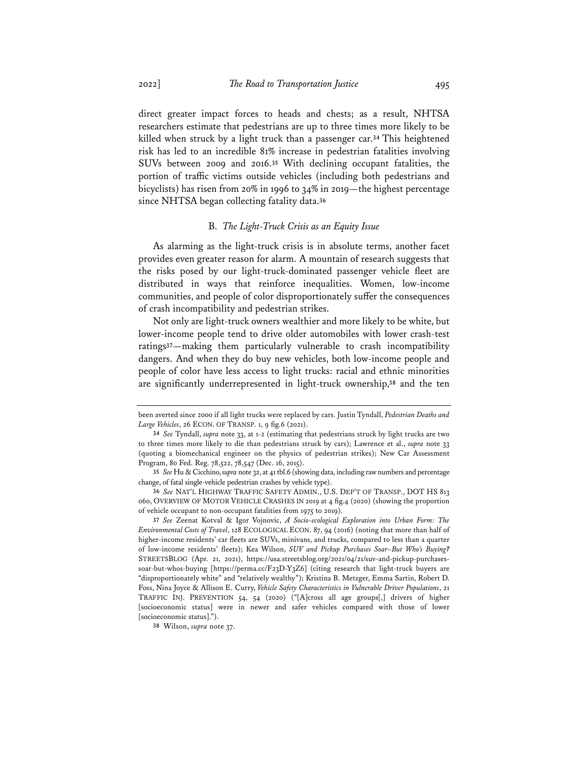direct greater impact forces to heads and chests; as a result, NHTSA researchers estimate that pedestrians are up to three times more likely to be killed when struck by a light truck than a passenger car.**<sup>34</sup>** This heightened risk has led to an incredible 81% increase in pedestrian fatalities involving SUVs between 2009 and 2016.**<sup>35</sup>** With declining occupant fatalities, the portion of traffic victims outside vehicles (including both pedestrians and bicyclists) has risen from 20% in 1996 to 34% in 2019—the highest percentage since NHTSA began collecting fatality data.**<sup>36</sup>**

### B. *The Light-Truck Crisis as an Equity Issue*

As alarming as the light-truck crisis is in absolute terms, another facet provides even greater reason for alarm. A mountain of research suggests that the risks posed by our light-truck-dominated passenger vehicle fleet are distributed in ways that reinforce inequalities. Women, low-income communities, and people of color disproportionately suffer the consequences of crash incompatibility and pedestrian strikes.

Not only are light-truck owners wealthier and more likely to be white, but lower-income people tend to drive older automobiles with lower crash-test ratings**37**—making them particularly vulnerable to crash incompatibility dangers. And when they do buy new vehicles, both low-income people and people of color have less access to light trucks: racial and ethnic minorities are significantly underrepresented in light-truck ownership,**<sup>38</sup>** and the ten

been averted since 2000 if all light trucks were replaced by cars. Justin Tyndall, *Pedestrian Deaths and Large Vehicles*, 26 ECON. OF TRANSP. 1, 9 fig.6 (2021).

**<sup>34</sup>** *See* Tyndall, *supra* note 33, at 1-2 (estimating that pedestrians struck by light trucks are two to three times more likely to die than pedestrians struck by cars); Lawrence et al., *supra* note 33 (quoting a biomechanical engineer on the physics of pedestrian strikes); New Car Assessment Program, 80 Fed. Reg. 78,522, 78,547 (Dec. 16, 2015).

**<sup>35</sup>** *See* Hu & Cicchino, *supra* note 32, at 41 tbl.6 (showing data, including raw numbers and percentage change, of fatal single-vehicle pedestrian crashes by vehicle type).

**<sup>36</sup>** *See* NAT'L HIGHWAY TRAFFIC SAFETY ADMIN., U.S. DEP'T OF TRANSP., DOT HS 813 060, OVERVIEW OF MOTOR VEHICLE CRASHES IN 2019 at 4 fig.4 (2020) (showing the proportion of vehicle occupant to non-occupant fatalities from 1975 to 2019).

**<sup>37</sup>** *See* Zeenat Kotval & Igor Vojnovic, *A Socio-ecological Exploration into Urban Form: The Environmental Costs of Travel*, 128 ECOLOGICAL ECON. 87, 94 (2016) (noting that more than half of higher-income residents' car fleets are SUVs, minivans, and trucks, compared to less than a quarter of low-income residents' fleets); Kea Wilson, *SUV and Pickup Purchases Soar–But Who's Buying?*  STREETSBLOG (Apr. 21, 2021), https://usa.streetsblog.org/2021/04/21/suv-and-pickup-purchasessoar-but-whos-buying [https://perma.cc/F23D-Y3Z6] (citing research that light-truck buyers are "disproportionately white" and "relatively wealthy"); Kristina B. Metzger, Emma Sartin, Robert D. Foss, Nina Joyce & Allison E. Curry, *Vehicle Safety Characteristics in Vulnerable Driver Populations*, 21 TRAFFIC INJ. PREVENTION 54, 54 (2020) ("[A]cross all age groups[,] drivers of higher [socioeconomic status] were in newer and safer vehicles compared with those of lower [socioeconomic status].").

**<sup>38</sup>** Wilson, *supra* note 37.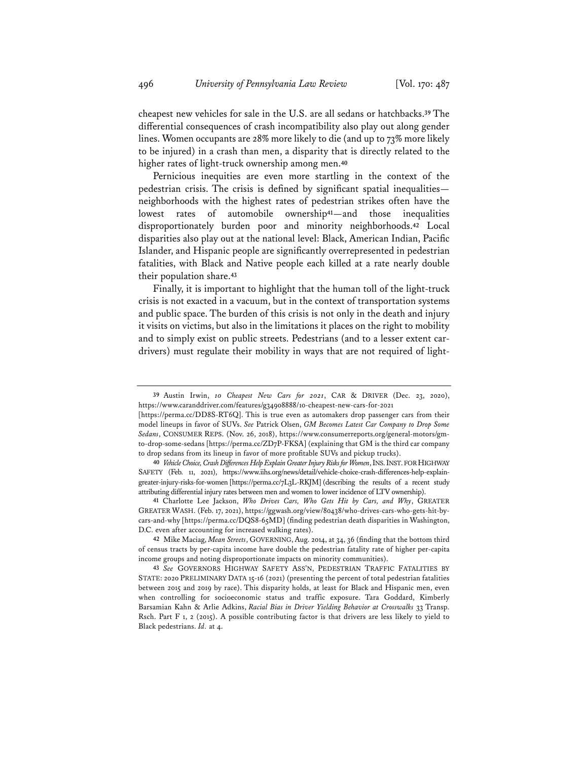cheapest new vehicles for sale in the U.S. are all sedans or hatchbacks.**<sup>39</sup>** The differential consequences of crash incompatibility also play out along gender lines. Women occupants are 28% more likely to die (and up to 73% more likely to be injured) in a crash than men, a disparity that is directly related to the higher rates of light-truck ownership among men.**<sup>40</sup>**

Pernicious inequities are even more startling in the context of the pedestrian crisis. The crisis is defined by significant spatial inequalities neighborhoods with the highest rates of pedestrian strikes often have the lowest rates of automobile ownership**41**—and those inequalities disproportionately burden poor and minority neighborhoods.**<sup>42</sup>** Local disparities also play out at the national level: Black, American Indian, Pacific Islander, and Hispanic people are significantly overrepresented in pedestrian fatalities, with Black and Native people each killed at a rate nearly double their population share.**<sup>43</sup>**

Finally, it is important to highlight that the human toll of the light-truck crisis is not exacted in a vacuum, but in the context of transportation systems and public space. The burden of this crisis is not only in the death and injury it visits on victims, but also in the limitations it places on the right to mobility and to simply exist on public streets. Pedestrians (and to a lesser extent cardrivers) must regulate their mobility in ways that are not required of light-

**<sup>39</sup>** Austin Irwin, *10 Cheapest New Cars for 2021*, CAR & DRIVER (Dec. 23, 2020), https://www.caranddriver.com/features/g34908888/10-cheapest-new-cars-for-2021

<sup>[</sup>https://perma.cc/DD8S-RT6Q]. This is true even as automakers drop passenger cars from their model lineups in favor of SUVs. *See* Patrick Olsen, *GM Becomes Latest Car Company to Drop Some Sedans*, CONSUMER REPS. (Nov. 26, 2018), https://www.consumerreports.org/general-motors/gmto-drop-some-sedans [https://perma.cc/ZD7P-FKSA] (explaining that GM is the third car company to drop sedans from its lineup in favor of more profitable SUVs and pickup trucks).

**<sup>40</sup>** *Vehicle Choice, Crash Differences Help Explain Greater Injury Risks for Women*, INS.INST.FOR HIGHWAY SAFETY (Feb. 11, 2021), https://www.iihs.org/news/detail/vehicle-choice-crash-differences-help-explaingreater-injury-risks-for-women [https://perma.cc/7L3L-RKJM] (describing the results of a recent study attributing differential injury rates between men and women to lower incidence of LTV ownership).

**<sup>41</sup>** Charlotte Lee Jackson, *Who Drives Cars, Who Gets Hit by Cars, and Why*, GREATER GREATER WASH. (Feb. 17, 2021), https://ggwash.org/view/80438/who-drives-cars-who-gets-hit-bycars-and-why [https://perma.cc/DQS8-65MD] (finding pedestrian death disparities in Washington, D.C. even after accounting for increased walking rates).

**<sup>42</sup>** Mike Maciag, *Mean Streets*, GOVERNING, Aug. 2014, at 34, 36 (finding that the bottom third of census tracts by per-capita income have double the pedestrian fatality rate of higher per-capita income groups and noting disproportionate impacts on minority communities).

**<sup>43</sup>** *See* GOVERNORS HIGHWAY SAFETY ASS'N, PEDESTRIAN TRAFFIC FATALITIES BY STATE: 2020 PRELIMINARY DATA 15-16 (2021) (presenting the percent of total pedestrian fatalities between 2015 and 2019 by race). This disparity holds, at least for Black and Hispanic men, even when controlling for socioeconomic status and traffic exposure. Tara Goddard, Kimberly Barsamian Kahn & Arlie Adkins, *Racial Bias in Driver Yielding Behavior at Crosswalks* 33 Transp. Rsch. Part F 1, 2 (2015). A possible contributing factor is that drivers are less likely to yield to Black pedestrians. *Id.* at 4.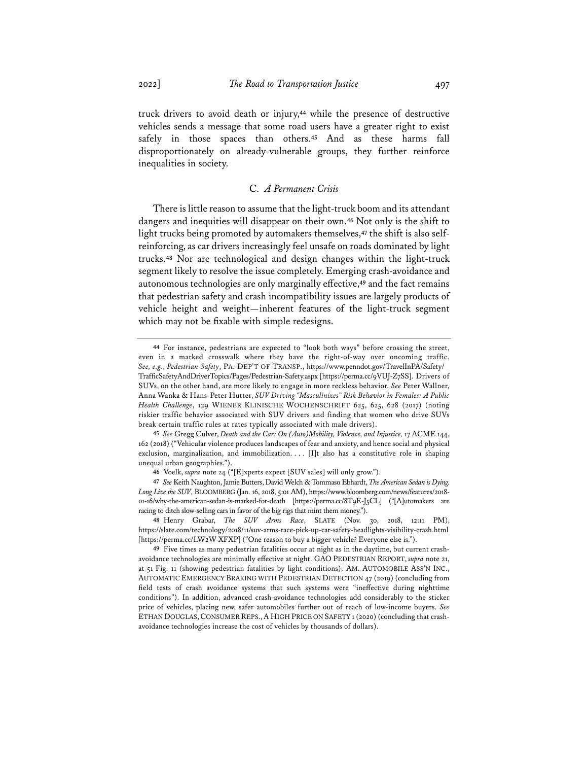truck drivers to avoid death or injury,**<sup>44</sup>** while the presence of destructive vehicles sends a message that some road users have a greater right to exist safely in those spaces than others.**<sup>45</sup>** And as these harms fall disproportionately on already-vulnerable groups, they further reinforce inequalities in society.

## C. *A Permanent Crisis*

There is little reason to assume that the light-truck boom and its attendant dangers and inequities will disappear on their own.**<sup>46</sup>** Not only is the shift to light trucks being promoted by automakers themselves,**<sup>47</sup>** the shift is also selfreinforcing, as car drivers increasingly feel unsafe on roads dominated by light trucks.**<sup>48</sup>** Nor are technological and design changes within the light-truck segment likely to resolve the issue completely. Emerging crash-avoidance and autonomous technologies are only marginally effective,**<sup>49</sup>** and the fact remains that pedestrian safety and crash incompatibility issues are largely products of vehicle height and weight—inherent features of the light-truck segment which may not be fixable with simple redesigns.

**<sup>44</sup>** For instance, pedestrians are expected to "look both ways" before crossing the street, even in a marked crosswalk where they have the right-of-way over oncoming traffic. *See, e.g.*, *Pedestrian Safety*, PA. DEP'T OF TRANSP., https://www.penndot.gov/TravelInPA/Safety/ TrafficSafetyAndDriverTopics/Pages/Pedestrian-Safety.aspx [https://perma.cc/9VUJ-Z7SS]. Drivers of SUVs, on the other hand, are more likely to engage in more reckless behavior. *See* Peter Wallner, Anna Wanka & Hans-Peter Hutter, *SUV Driving "Masculinizes" Risk Behavior in Females: A Public Health Challenge*, 129 WIENER KLINISCHE WOCHENSCHRIFT 625, 625, 628 (2017) (noting riskier traffic behavior associated with SUV drivers and finding that women who drive SUVs break certain traffic rules at rates typically associated with male drivers).

**<sup>45</sup>** *See* Gregg Culver, *Death and the Car: On (Auto)Mobility, Violence, and Injustice,* 17 ACME 144, 162 (2018) ("Vehicular violence produces landscapes of fear and anxiety, and hence social and physical exclusion, marginalization, and immobilization. . . . [I]t also has a constitutive role in shaping unequal urban geographies.").

**<sup>46</sup>** Voelk, *supra* note 24 ("[E]xperts expect [SUV sales] will only grow.").

**<sup>47</sup>** *See* Keith Naughton, Jamie Butters, David Welch & Tommaso Ebhardt, *The American Sedan is Dying. Long Live the SUV*, BLOOMBERG (Jan. 16, 2018, 5:01 AM), https://www.bloomberg.com/news/features/2018- 01-16/why-the-american-sedan-is-marked-for-death [https://perma.cc/8T9E-J5CL] ("[A]utomakers are racing to ditch slow-selling cars in favor of the big rigs that mint them money.").

**<sup>48</sup>** Henry Grabar, *The SUV Arms Race*, SLATE (Nov. 30, 2018, 12:11 PM), https://slate.com/technology/2018/11/suv-arms-race-pick-up-car-safety-headlights-visibility-crash.html [https://perma.cc/LW2W-XFXP] ("One reason to buy a bigger vehicle? Everyone else is.").

**<sup>49</sup>** Five times as many pedestrian fatalities occur at night as in the daytime, but current crashavoidance technologies are minimally effective at night. GAO PEDESTRIAN REPORT, *supra* note 21, at 51 Fig. 11 (showing pedestrian fatalities by light conditions); AM. AUTOMOBILE ASS'N INC., AUTOMATIC EMERGENCY BRAKING WITH PEDESTRIAN DETECTION 47 (2019) (concluding from field tests of crash avoidance systems that such systems were "ineffective during nighttime conditions"). In addition, advanced crash-avoidance technologies add considerably to the sticker price of vehicles, placing new, safer automobiles further out of reach of low-income buyers. *See* ETHAN DOUGLAS,CONSUMER REPS.,A HIGH PRICE ON SAFETY 1 (2020) (concluding that crashavoidance technologies increase the cost of vehicles by thousands of dollars).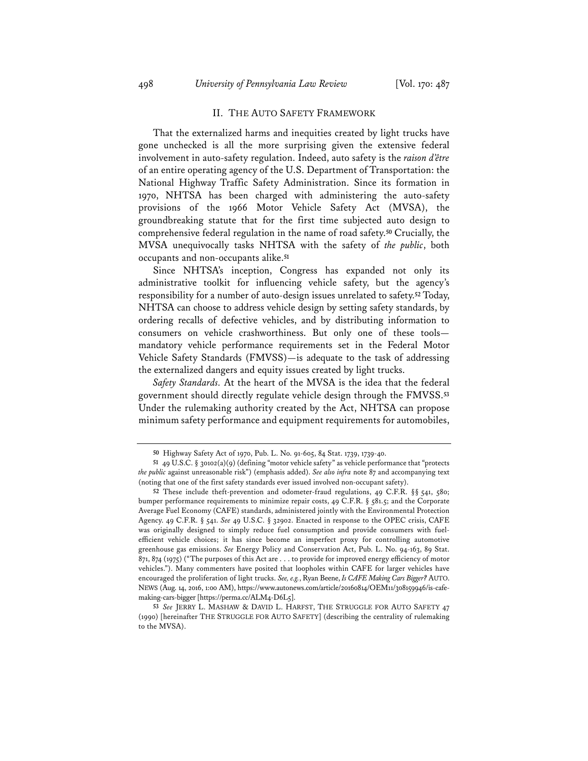### II. THE AUTO SAFETY FRAMEWORK

That the externalized harms and inequities created by light trucks have gone unchecked is all the more surprising given the extensive federal involvement in auto-safety regulation. Indeed, auto safety is the *raison d'être* of an entire operating agency of the U.S. Department of Transportation: the National Highway Traffic Safety Administration. Since its formation in 1970, NHTSA has been charged with administering the auto-safety provisions of the 1966 Motor Vehicle Safety Act (MVSA), the groundbreaking statute that for the first time subjected auto design to comprehensive federal regulation in the name of road safety.**<sup>50</sup>** Crucially, the MVSA unequivocally tasks NHTSA with the safety of *the public*, both occupants and non-occupants alike.**<sup>51</sup>**

Since NHTSA's inception, Congress has expanded not only its administrative toolkit for influencing vehicle safety, but the agency's responsibility for a number of auto-design issues unrelated to safety.**<sup>52</sup>** Today, NHTSA can choose to address vehicle design by setting safety standards, by ordering recalls of defective vehicles, and by distributing information to consumers on vehicle crashworthiness. But only one of these tools mandatory vehicle performance requirements set in the Federal Motor Vehicle Safety Standards (FMVSS)—is adequate to the task of addressing the externalized dangers and equity issues created by light trucks.

*Safety Standards.* At the heart of the MVSA is the idea that the federal government should directly regulate vehicle design through the FMVSS.**<sup>53</sup>** Under the rulemaking authority created by the Act, NHTSA can propose minimum safety performance and equipment requirements for automobiles,

**<sup>50</sup>** Highway Safety Act of 1970, Pub. L. No. 91-605, 84 Stat. 1739, 1739-40.

**<sup>51</sup>** 49 U.S.C. § 30102(a)(9) (defining "motor vehicle safety" as vehicle performance that "protects *the public* against unreasonable risk") (emphasis added). *See also infra* note 87 and accompanying text (noting that one of the first safety standards ever issued involved non-occupant safety).

**<sup>52</sup>** These include theft-prevention and odometer-fraud regulations, 49 C.F.R. §§ 541, 580; bumper performance requirements to minimize repair costs, 49 C.F.R. § 581.5; and the Corporate Average Fuel Economy (CAFE) standards, administered jointly with the Environmental Protection Agency. 49 C.F.R. § 541. *See* 49 U.S.C. § 32902. Enacted in response to the OPEC crisis, CAFE was originally designed to simply reduce fuel consumption and provide consumers with fuelefficient vehicle choices; it has since become an imperfect proxy for controlling automotive greenhouse gas emissions. *See* Energy Policy and Conservation Act, Pub. L. No. 94-163, 89 Stat. 871, 874 (1975) ("The purposes of this Act are . . . to provide for improved energy efficiency of motor vehicles."). Many commenters have posited that loopholes within CAFE for larger vehicles have encouraged the proliferation of light trucks. *See, e.g.*, Ryan Beene, *Is CAFE Making Cars Bigger?* AUTO. NEWS (Aug. 14, 2016, 1:00 AM), https://www.autonews.com/article/20160814/OEM11/308159946/is-cafemaking-cars-bigger [https://perma.cc/ALM4-D6L5].

**<sup>53</sup>** *See* JERRY L. MASHAW & DAVID L. HARFST, THE STRUGGLE FOR AUTO SAFETY 47 (1990) [hereinafter THE STRUGGLE FOR AUTO SAFETY] (describing the centrality of rulemaking to the MVSA).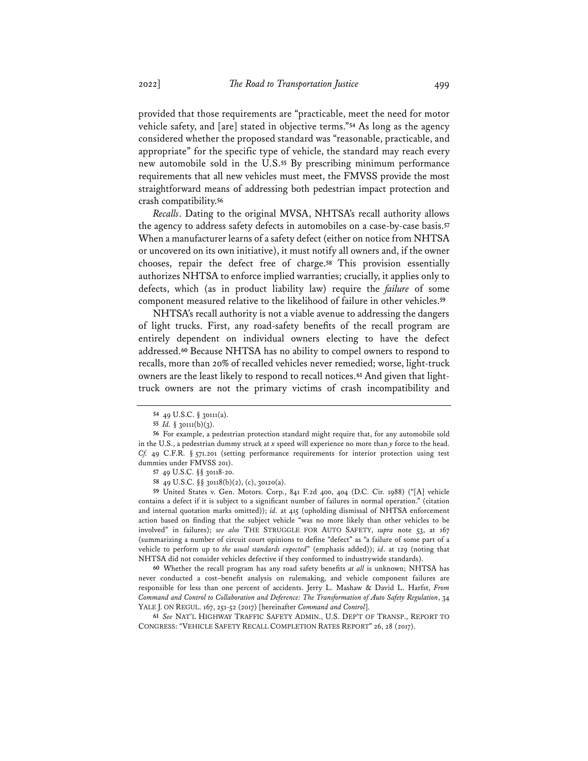provided that those requirements are "practicable, meet the need for motor vehicle safety, and [are] stated in objective terms."**<sup>54</sup>** As long as the agency considered whether the proposed standard was "reasonable, practicable, and appropriate" for the specific type of vehicle, the standard may reach every new automobile sold in the U.S.**<sup>55</sup>** By prescribing minimum performance requirements that all new vehicles must meet, the FMVSS provide the most straightforward means of addressing both pedestrian impact protection and crash compatibility.**<sup>56</sup>**

*Recalls*. Dating to the original MVSA, NHTSA's recall authority allows the agency to address safety defects in automobiles on a case-by-case basis.**<sup>57</sup>** When a manufacturer learns of a safety defect (either on notice from NHTSA or uncovered on its own initiative), it must notify all owners and, if the owner chooses, repair the defect free of charge.**<sup>58</sup>** This provision essentially authorizes NHTSA to enforce implied warranties; crucially, it applies only to defects, which (as in product liability law) require the *failure* of some component measured relative to the likelihood of failure in other vehicles.**<sup>59</sup>**

NHTSA's recall authority is not a viable avenue to addressing the dangers of light trucks. First, any road-safety benefits of the recall program are entirely dependent on individual owners electing to have the defect addressed.**<sup>60</sup>** Because NHTSA has no ability to compel owners to respond to recalls, more than 20% of recalled vehicles never remedied; worse, light-truck owners are the least likely to respond to recall notices.**<sup>61</sup>** And given that lighttruck owners are not the primary victims of crash incompatibility and

**58** 49 U.S.C. §§ 30118(b)(2), (c), 30120(a).

**59** United States v. Gen. Motors. Corp., 841 F.2d 400, 404 (D.C. Cir. 1988) ("[A] vehicle contains a defect if it is subject to a significant number of failures in normal operation." (citation and internal quotation marks omitted)); *id.* at 415 (upholding dismissal of NHTSA enforcement action based on finding that the subject vehicle "was no more likely than other vehicles to be involved" in failures); *see also* THE STRUGGLE FOR AUTO SAFETY, *supra* note 53, at 167 (summarizing a number of circuit court opinions to define "defect" as "a failure of some part of a vehicle to perform up to *the usual standards expected*" (emphasis added)); *id*. at 129 (noting that NHTSA did not consider vehicles defective if they conformed to industrywide standards).

**60** Whether the recall program has any road safety benefits *at all* is unknown; NHTSA has never conducted a cost–benefit analysis on rulemaking, and vehicle component failures are responsible for less than one percent of accidents. Jerry L. Mashaw & David L. Harfst, *From Command and Control to Collaboration and Deference: The Transformation of Auto Safety Regulation*, 34 YALE J. ON REGUL. 167, 251-52 (2017) [hereinafter *Command and Control*].

**61** *See* NAT'L HIGHWAY TRAFFIC SAFETY ADMIN., U.S. DEP'T OF TRANSP., REPORT TO CONGRESS: "VEHICLE SAFETY RECALL COMPLETION RATES REPORT" 26, 28 (2017).

**<sup>54</sup>** 49 U.S.C. § 30111(a).

**<sup>55</sup>** *Id.* § 30111(b)(3).

**<sup>56</sup>** For example, a pedestrian protection standard might require that, for any automobile sold in the U.S., a pedestrian dummy struck at *x* speed will experience no more than *y* force to the head. *Cf.* 49 C.F.R. § 571.201 (setting performance requirements for interior protection using test dummies under FMVSS 201).

**<sup>57</sup>** 49 U.S.C. §§ 30118-20.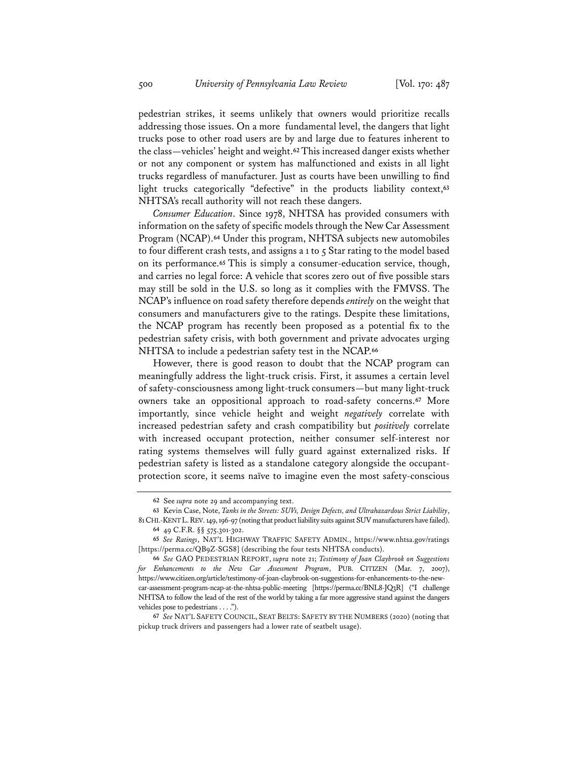pedestrian strikes, it seems unlikely that owners would prioritize recalls addressing those issues. On a more fundamental level, the dangers that light trucks pose to other road users are by and large due to features inherent to the class—vehicles' height and weight.**<sup>62</sup>** This increased danger exists whether or not any component or system has malfunctioned and exists in all light trucks regardless of manufacturer. Just as courts have been unwilling to find light trucks categorically "defective" in the products liability context,**<sup>63</sup>** NHTSA's recall authority will not reach these dangers.

*Consumer Education*. Since 1978, NHTSA has provided consumers with information on the safety of specific models through the New Car Assessment Program (NCAP).**<sup>64</sup>** Under this program, NHTSA subjects new automobiles to four different crash tests, and assigns a 1 to 5 Star rating to the model based on its performance.**<sup>65</sup>** This is simply a consumer-education service, though, and carries no legal force: A vehicle that scores zero out of five possible stars may still be sold in the U.S. so long as it complies with the FMVSS. The NCAP's influence on road safety therefore depends *entirely* on the weight that consumers and manufacturers give to the ratings. Despite these limitations, the NCAP program has recently been proposed as a potential fix to the pedestrian safety crisis, with both government and private advocates urging NHTSA to include a pedestrian safety test in the NCAP.**<sup>66</sup>**

However, there is good reason to doubt that the NCAP program can meaningfully address the light-truck crisis. First, it assumes a certain level of safety-consciousness among light-truck consumers—but many light-truck owners take an oppositional approach to road-safety concerns.**<sup>67</sup>** More importantly, since vehicle height and weight *negatively* correlate with increased pedestrian safety and crash compatibility but *positively* correlate with increased occupant protection, neither consumer self-interest nor rating systems themselves will fully guard against externalized risks. If pedestrian safety is listed as a standalone category alongside the occupantprotection score, it seems naïve to imagine even the most safety-conscious

**<sup>62</sup>** See *supra* note 29 and accompanying text.

**<sup>63</sup>** Kevin Case, Note, *Tanks in the Streets: SUVs, Design Defects, and Ultrahazardous Strict Liability*, 81CHI.-KENT L.REV.149, 196-97(noting that product liability suits against SUVmanufacturers have failed). **64** 49 C.F.R. §§ 575.301-302.

**<sup>65</sup>** *See Ratings*, NAT'L HIGHWAY TRAFFIC SAFETY ADMIN., https://www.nhtsa.gov/ratings [https://perma.cc/QB9Z-SGS8] (describing the four tests NHTSA conducts).

**<sup>66</sup>** *See* GAO PEDESTRIAN REPORT, *supra* note 21; *Testimony of Joan Claybrook on Suggestions for Enhancements to the New Car Assessment Program*, PUB. CITIZEN (Mar. 7, 2007), https://www.citizen.org/article/testimony-of-joan-claybrook-on-suggestions-for-enhancements-to-the-newcar-assessment-program-ncap-at-the-nhtsa-public-meeting [https://perma.cc/BNL8-JQ3R] ("I challenge NHTSA to follow the lead of the rest of the world by taking a far more aggressive stand against the dangers vehicles pose to pedestrians . . . .").

**<sup>67</sup>** *See* NAT'L SAFETY COUNCIL, SEAT BELTS: SAFETY BY THE NUMBERS (2020) (noting that pickup truck drivers and passengers had a lower rate of seatbelt usage).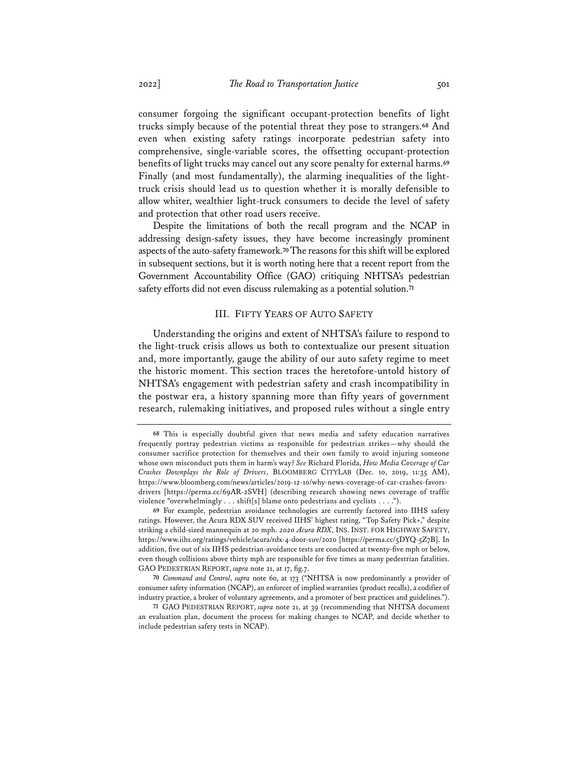consumer forgoing the significant occupant-protection benefits of light trucks simply because of the potential threat they pose to strangers.**<sup>68</sup>** And even when existing safety ratings incorporate pedestrian safety into comprehensive, single-variable scores, the offsetting occupant-protection benefits of light trucks may cancel out any score penalty for external harms.**<sup>69</sup>** Finally (and most fundamentally), the alarming inequalities of the lighttruck crisis should lead us to question whether it is morally defensible to allow whiter, wealthier light-truck consumers to decide the level of safety and protection that other road users receive.

Despite the limitations of both the recall program and the NCAP in addressing design-safety issues, they have become increasingly prominent aspects of the auto-safety framework.**70**The reasons for this shift will be explored in subsequent sections, but it is worth noting here that a recent report from the Government Accountability Office (GAO) critiquing NHTSA's pedestrian safety efforts did not even discuss rulemaking as a potential solution.**<sup>71</sup>**

### III. FIFTY YEARS OF AUTO SAFETY

Understanding the origins and extent of NHTSA's failure to respond to the light-truck crisis allows us both to contextualize our present situation and, more importantly, gauge the ability of our auto safety regime to meet the historic moment. This section traces the heretofore-untold history of NHTSA's engagement with pedestrian safety and crash incompatibility in the postwar era, a history spanning more than fifty years of government research, rulemaking initiatives, and proposed rules without a single entry

**<sup>68</sup>** This is especially doubtful given that news media and safety education narratives frequently portray pedestrian victims as responsible for pedestrian strikes—why should the consumer sacrifice protection for themselves and their own family to avoid injuring someone whose own misconduct puts them in harm's way? *See* Richard Florida, *How Media Coverage of Car Crashes Downplays the Role of Drivers*, BLOOMBERG CITYLAB (Dec. 10, 2019, 11:35 AM), https://www.bloomberg.com/news/articles/2019-12-10/why-news-coverage-of-car-crashes-favorsdrivers [https://perma.cc/69AR-2SVH] (describing research showing news coverage of traffic violence "overwhelmingly . . . shift[s] blame onto pedestrians and cyclists . . . .").

**<sup>69</sup>** For example, pedestrian avoidance technologies are currently factored into IIHS safety ratings. However, the Acura RDX SUV received IIHS' highest rating, "Top Safety Pick+," despite striking a child-sized mannequin at 20 mph. *2020 Acura RDX*, INS. INST. FOR HIGHWAY SAFETY, https://www.iihs.org/ratings/vehicle/acura/rdx-4-door-suv/2020 [https://perma.cc/5DYQ-5Z7B]. In addition, five out of six IIHS pedestrian-avoidance tests are conducted at twenty-five mph or below, even though collisions above thirty mph are responsible for five times as many pedestrian fatalities. GAO PEDESTRIAN REPORT, *supra* note 21, at 17, fig.7.

**<sup>70</sup>** *Command and Control*, *supra* note 60, at 173 ("NHTSA is now predominantly a provider of consumer safety information (NCAP), an enforcer of implied warranties (product recalls), a codifier of industry practice, a broker of voluntary agreements, and a promoter of best practices and guidelines.").

**<sup>71</sup>** GAO PEDESTRIAN REPORT, *supra* note 21, at 39 (recommending that NHTSA document an evaluation plan, document the process for making changes to NCAP, and decide whether to include pedestrian safety tests in NCAP).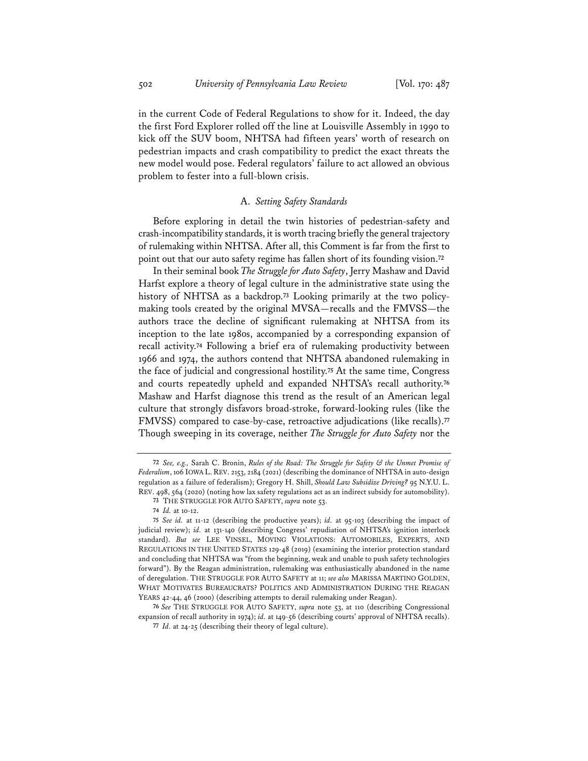in the current Code of Federal Regulations to show for it. Indeed, the day the first Ford Explorer rolled off the line at Louisville Assembly in 1990 to kick off the SUV boom, NHTSA had fifteen years' worth of research on pedestrian impacts and crash compatibility to predict the exact threats the new model would pose. Federal regulators' failure to act allowed an obvious problem to fester into a full-blown crisis.

# A. *Setting Safety Standards*

Before exploring in detail the twin histories of pedestrian-safety and crash-incompatibility standards, it is worth tracing briefly the general trajectory of rulemaking within NHTSA. After all, this Comment is far from the first to point out that our auto safety regime has fallen short of its founding vision.**<sup>72</sup>**

In their seminal book *The Struggle for Auto Safety*, Jerry Mashaw and David Harfst explore a theory of legal culture in the administrative state using the history of NHTSA as a backdrop.**<sup>73</sup>** Looking primarily at the two policymaking tools created by the original MVSA—recalls and the FMVSS—the authors trace the decline of significant rulemaking at NHTSA from its inception to the late 1980s, accompanied by a corresponding expansion of recall activity.**<sup>74</sup>** Following a brief era of rulemaking productivity between 1966 and 1974, the authors contend that NHTSA abandoned rulemaking in the face of judicial and congressional hostility.**<sup>75</sup>** At the same time, Congress and courts repeatedly upheld and expanded NHTSA's recall authority.**<sup>76</sup>** Mashaw and Harfst diagnose this trend as the result of an American legal culture that strongly disfavors broad-stroke, forward-looking rules (like the FMVSS) compared to case-by-case, retroactive adjudications (like recalls).**<sup>77</sup>** Though sweeping in its coverage, neither *The Struggle for Auto Safety* nor the

**<sup>72</sup>** *See, e.g.,* Sarah C. Bronin, *Rules of the Road: The Struggle for Safety & the Unmet Promise of Federalism*, 106 IOWA L. REV. 2153, 2184 (2021) (describing the dominance of NHTSA in auto-design regulation as a failure of federalism); Gregory H. Shill, *Should Law Subsidize Driving?* 95 N.Y.U. L. REV. 498, 564 (2020) (noting how lax safety regulations act as an indirect subsidy for automobility).

**<sup>73</sup>** THE STRUGGLE FOR AUTO SAFETY, *supra* note 53.

**<sup>74</sup>** *Id.* at 10-12.

**<sup>75</sup>** *See id.* at 11-12 (describing the productive years); *id.* at 95-103 (describing the impact of judicial review); *id.* at 131-140 (describing Congress' repudiation of NHTSA's ignition interlock standard). *But see* LEE VINSEL, MOVING VIOLATIONS: AUTOMOBILES, EXPERTS, AND REGULATIONS IN THE UNITED STATES 129-48 (2019) (examining the interior protection standard and concluding that NHTSA was "from the beginning, weak and unable to push safety technologies forward"). By the Reagan administration, rulemaking was enthusiastically abandoned in the name of deregulation. THE STRUGGLE FOR AUTO SAFETY at 11; *see also* MARISSA MARTINO GOLDEN, WHAT MOTIVATES BUREAUCRATS? POLITICS AND ADMINISTRATION DURING THE REAGAN YEARS 42-44, 46 (2000) (describing attempts to derail rulemaking under Reagan).

**<sup>76</sup>** *See* THE STRUGGLE FOR AUTO SAFETY, *supra* note 53, at 110 (describing Congressional expansion of recall authority in 1974); *id.* at 149-56 (describing courts' approval of NHTSA recalls). **77** *Id.* at 24-25 (describing their theory of legal culture).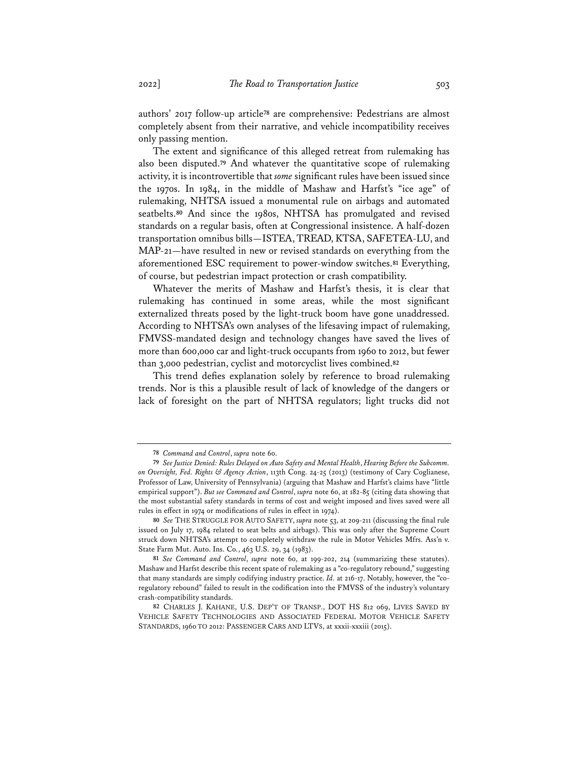authors' 2017 follow-up article**<sup>78</sup>** are comprehensive: Pedestrians are almost completely absent from their narrative, and vehicle incompatibility receives only passing mention.

The extent and significance of this alleged retreat from rulemaking has also been disputed.**<sup>79</sup>** And whatever the quantitative scope of rulemaking activity, it is incontrovertible that *some* significant rules have been issued since the 1970s. In 1984, in the middle of Mashaw and Harfst's "ice age" of rulemaking, NHTSA issued a monumental rule on airbags and automated seatbelts.**<sup>80</sup>** And since the 1980s, NHTSA has promulgated and revised standards on a regular basis, often at Congressional insistence. A half-dozen transportation omnibus bills—ISTEA, TREAD, KTSA, SAFETEA-LU, and MAP-21—have resulted in new or revised standards on everything from the aforementioned ESC requirement to power-window switches.**<sup>81</sup>** Everything, of course, but pedestrian impact protection or crash compatibility.

Whatever the merits of Mashaw and Harfst's thesis, it is clear that rulemaking has continued in some areas, while the most significant externalized threats posed by the light-truck boom have gone unaddressed. According to NHTSA's own analyses of the lifesaving impact of rulemaking, FMVSS-mandated design and technology changes have saved the lives of more than 600,000 car and light-truck occupants from 1960 to 2012, but fewer than 3,000 pedestrian, cyclist and motorcyclist lives combined.**<sup>82</sup>**

This trend defies explanation solely by reference to broad rulemaking trends. Nor is this a plausible result of lack of knowledge of the dangers or lack of foresight on the part of NHTSA regulators; light trucks did not

**<sup>78</sup>** *Command and Control*, *supra* note 60.

**<sup>79</sup>** *See Justice Denied: Rules Delayed on Auto Safety and Mental Health*, *Hearing Before the Subcomm. on Oversight, Fed. Rights & Agency Action*, 113th Cong. 24-25 (2013) (testimony of Cary Coglianese, Professor of Law, University of Pennsylvania) (arguing that Mashaw and Harfst's claims have "little empirical support"). *But see Command and Control*, *supra* note 60, at 182-85 (citing data showing that the most substantial safety standards in terms of cost and weight imposed and lives saved were all rules in effect in 1974 or modifications of rules in effect in 1974).

**<sup>80</sup>** *See* THE STRUGGLE FOR AUTO SAFETY, *supra* note 53, at 209-211 (discussing the final rule issued on July 17, 1984 related to seat belts and airbags). This was only after the Supreme Court struck down NHTSA's attempt to completely withdraw the rule in Motor Vehicles Mfrs. Ass'n v. State Farm Mut. Auto. Ins. Co*.*, 463 U.S. 29, 34 (1983).

**<sup>81</sup>** *See Command and Control*, *supra* note 60, at 199-202, 214 (summarizing these statutes). Mashaw and Harfst describe this recent spate of rulemaking as a "co-regulatory rebound," suggesting that many standards are simply codifying industry practice. *Id.* at 216-17. Notably, however, the "coregulatory rebound" failed to result in the codification into the FMVSS of the industry's voluntary crash-compatibility standards.

**<sup>82</sup>** CHARLES J. KAHANE, U.S. DEP'T OF TRANSP., DOT HS 812 069, LIVES SAVED BY VEHICLE SAFETY TECHNOLOGIES AND ASSOCIATED FEDERAL MOTOR VEHICLE SAFETY STANDARDS, 1960 TO 2012: PASSENGER CARS AND LTVS, at xxxii-xxxiii (2015).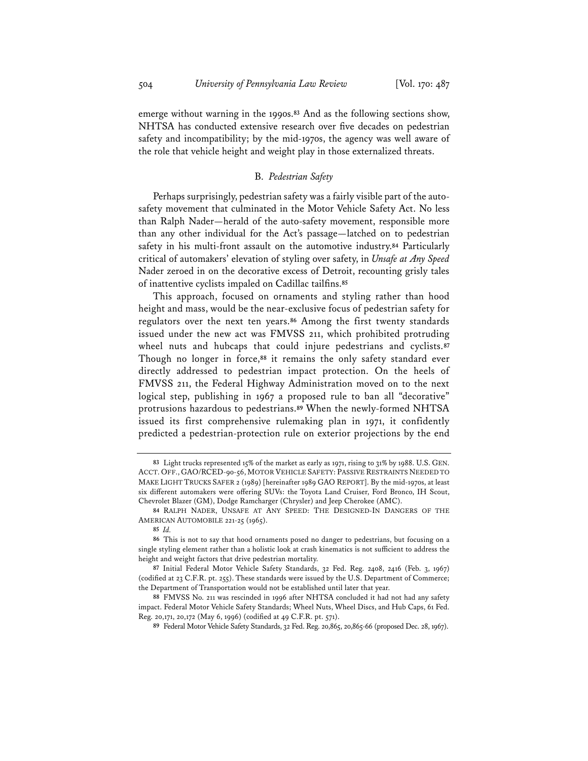emerge without warning in the 1990s.**<sup>83</sup>** And as the following sections show, NHTSA has conducted extensive research over five decades on pedestrian safety and incompatibility; by the mid-1970s, the agency was well aware of the role that vehicle height and weight play in those externalized threats.

### B. *Pedestrian Safety*

Perhaps surprisingly, pedestrian safety was a fairly visible part of the autosafety movement that culminated in the Motor Vehicle Safety Act. No less than Ralph Nader—herald of the auto-safety movement, responsible more than any other individual for the Act's passage—latched on to pedestrian safety in his multi-front assault on the automotive industry.**<sup>84</sup>** Particularly critical of automakers' elevation of styling over safety, in *Unsafe at Any Speed* Nader zeroed in on the decorative excess of Detroit, recounting grisly tales of inattentive cyclists impaled on Cadillac tailfins.**<sup>85</sup>**

This approach, focused on ornaments and styling rather than hood height and mass, would be the near-exclusive focus of pedestrian safety for regulators over the next ten years.**<sup>86</sup>** Among the first twenty standards issued under the new act was FMVSS 211, which prohibited protruding wheel nuts and hubcaps that could injure pedestrians and cyclists.**<sup>87</sup>** Though no longer in force,**<sup>88</sup>** it remains the only safety standard ever directly addressed to pedestrian impact protection. On the heels of FMVSS 211, the Federal Highway Administration moved on to the next logical step, publishing in 1967 a proposed rule to ban all "decorative" protrusions hazardous to pedestrians.**<sup>89</sup>** When the newly-formed NHTSA issued its first comprehensive rulemaking plan in 1971, it confidently predicted a pedestrian-protection rule on exterior projections by the end

**<sup>83</sup>** Light trucks represented 15% of the market as early as 1971, rising to 31% by 1988. U.S. GEN. ACCT. OFF., GAO/RCED-90-56, MOTOR VEHICLE SAFETY: PASSIVE RESTRAINTS NEEDED TO MAKE LIGHT TRUCKS SAFER 2 (1989) [hereinafter 1989 GAO REPORT]. By the mid-1970s, at least six different automakers were offering SUVs: the Toyota Land Cruiser, Ford Bronco, IH Scout, Chevrolet Blazer (GM), Dodge Ramcharger (Chrysler) and Jeep Cherokee (AMC).

**<sup>84</sup>** RALPH NADER, UNSAFE AT ANY SPEED: THE DESIGNED-IN DANGERS OF THE AMERICAN AUTOMOBILE 221-25 (1965).

**<sup>85</sup>** *Id.*

**<sup>86</sup>** This is not to say that hood ornaments posed no danger to pedestrians, but focusing on a single styling element rather than a holistic look at crash kinematics is not sufficient to address the height and weight factors that drive pedestrian mortality.

**<sup>87</sup>** Initial Federal Motor Vehicle Safety Standards, 32 Fed. Reg. 2408, 2416 (Feb. 3, 1967) (codified at 23 C.F.R. pt. 255). These standards were issued by the U.S. Department of Commerce; the Department of Transportation would not be established until later that year.

**<sup>88</sup>** FMVSS No. 211 was rescinded in 1996 after NHTSA concluded it had not had any safety impact. Federal Motor Vehicle Safety Standards; Wheel Nuts, Wheel Discs, and Hub Caps, 61 Fed. Reg. 20,171, 20,172 (May 6, 1996) (codified at 49 C.F.R. pt. 571).

**<sup>89</sup>** Federal Motor Vehicle Safety Standards, 32 Fed. Reg. 20,865, 20,865-66 (proposed Dec. 28, 1967).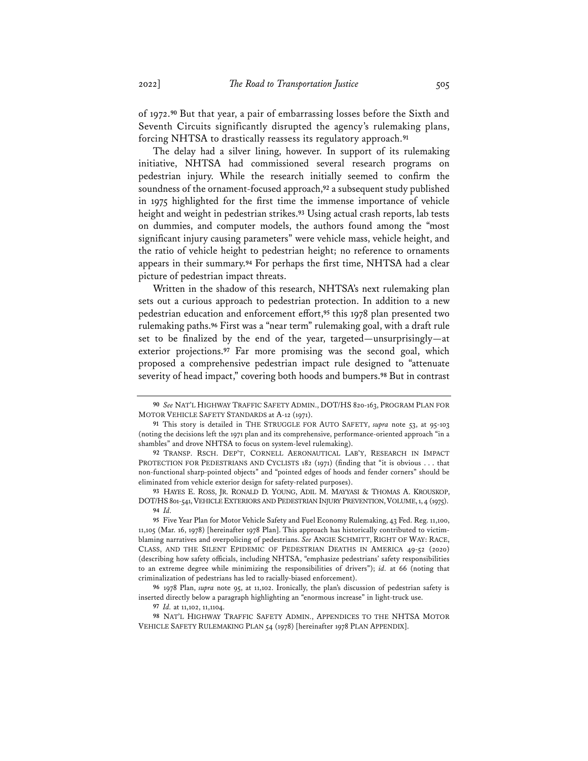of 1972.**<sup>90</sup>** But that year, a pair of embarrassing losses before the Sixth and Seventh Circuits significantly disrupted the agency's rulemaking plans, forcing NHTSA to drastically reassess its regulatory approach.**<sup>91</sup>**

The delay had a silver lining, however. In support of its rulemaking initiative, NHTSA had commissioned several research programs on pedestrian injury. While the research initially seemed to confirm the soundness of the ornament-focused approach,**<sup>92</sup>** a subsequent study published in 1975 highlighted for the first time the immense importance of vehicle height and weight in pedestrian strikes.**<sup>93</sup>** Using actual crash reports, lab tests on dummies, and computer models, the authors found among the "most significant injury causing parameters" were vehicle mass, vehicle height, and the ratio of vehicle height to pedestrian height; no reference to ornaments appears in their summary.**<sup>94</sup>** For perhaps the first time, NHTSA had a clear picture of pedestrian impact threats.

Written in the shadow of this research, NHTSA's next rulemaking plan sets out a curious approach to pedestrian protection. In addition to a new pedestrian education and enforcement effort,**<sup>95</sup>** this 1978 plan presented two rulemaking paths.**<sup>96</sup>** First was a "near term" rulemaking goal, with a draft rule set to be finalized by the end of the year, targeted—unsurprisingly—at exterior projections.**<sup>97</sup>** Far more promising was the second goal, which proposed a comprehensive pedestrian impact rule designed to "attenuate severity of head impact," covering both hoods and bumpers.**<sup>98</sup>** But in contrast

**<sup>90</sup>** *See* NAT'L HIGHWAY TRAFFIC SAFETY ADMIN., DOT/HS 820-163, PROGRAM PLAN FOR MOTOR VEHICLE SAFETY STANDARDS at A-12 (1971).

**<sup>91</sup>** This story is detailed in THE STRUGGLE FOR AUTO SAFETY, *supra* note 53, at 95-103 (noting the decisions left the 1971 plan and its comprehensive, performance-oriented approach "in a shambles" and drove NHTSA to focus on system-level rulemaking).

**<sup>92</sup>** TRANSP. RSCH. DEP'T, CORNELL AERONAUTICAL LAB'Y, RESEARCH IN IMPACT PROTECTION FOR PEDESTRIANS AND CYCLISTS 182 (1971) (finding that "it is obvious . . . that non-functional sharp-pointed objects" and "pointed edges of hoods and fender corners" should be eliminated from vehicle exterior design for safety-related purposes).

**<sup>93</sup>** HAYES E. ROSS, JR. RONALD D. YOUNG, ADIL M. MAYYASI & THOMAS A. KROUSKOP, DOT/HS 801-541, VEHICLE EXTERIORS AND PEDESTRIAN INJURY PREVENTION, VOLUME, 1, 4 (1975). **94** *Id.*

**<sup>95</sup>** Five Year Plan for Motor Vehicle Safety and Fuel Economy Rulemaking, 43 Fed. Reg. 11,100, 11,105 (Mar. 16, 1978) [hereinafter 1978 Plan]. This approach has historically contributed to victimblaming narratives and overpolicing of pedestrians. *See* ANGIE SCHMITT, RIGHT OF WAY: RACE, CLASS, AND THE SILENT EPIDEMIC OF PEDESTRIAN DEATHS IN AMERICA 49-52 (2020) (describing how safety officials, including NHTSA, "emphasize pedestrians' safety responsibilities to an extreme degree while minimizing the responsibilities of drivers"); *id.* at 66 (noting that criminalization of pedestrians has led to racially-biased enforcement).

**<sup>96</sup>** 1978 Plan, *supra* note 95, at 11,102. Ironically, the plan's discussion of pedestrian safety is inserted directly below a paragraph highlighting an "enormous increase" in light-truck use.

**<sup>97</sup>** *Id.* at 11,102, 11,1104.

**<sup>98</sup>** NAT'L HIGHWAY TRAFFIC SAFETY ADMIN., APPENDICES TO THE NHTSA MOTOR VEHICLE SAFETY RULEMAKING PLAN 54 (1978) [hereinafter 1978 PLAN APPENDIX].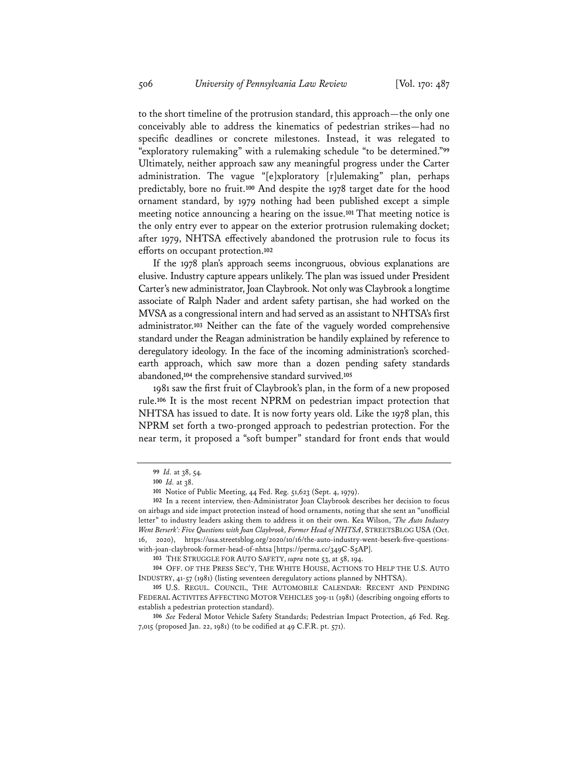to the short timeline of the protrusion standard, this approach—the only one conceivably able to address the kinematics of pedestrian strikes—had no specific deadlines or concrete milestones. Instead, it was relegated to "exploratory rulemaking" with a rulemaking schedule "to be determined."**<sup>99</sup>** Ultimately, neither approach saw any meaningful progress under the Carter administration. The vague "[e]xploratory [r]ulemaking" plan, perhaps predictably, bore no fruit.**<sup>100</sup>** And despite the 1978 target date for the hood ornament standard, by 1979 nothing had been published except a simple meeting notice announcing a hearing on the issue.**<sup>101</sup>** That meeting notice is the only entry ever to appear on the exterior protrusion rulemaking docket; after 1979, NHTSA effectively abandoned the protrusion rule to focus its efforts on occupant protection.**<sup>102</sup>**

If the 1978 plan's approach seems incongruous, obvious explanations are elusive. Industry capture appears unlikely. The plan was issued under President Carter's new administrator, Joan Claybrook. Not only was Claybrook a longtime associate of Ralph Nader and ardent safety partisan, she had worked on the MVSA as a congressional intern and had served as an assistant to NHTSA's first administrator.**<sup>103</sup>** Neither can the fate of the vaguely worded comprehensive standard under the Reagan administration be handily explained by reference to deregulatory ideology. In the face of the incoming administration's scorchedearth approach, which saw more than a dozen pending safety standards abandoned,**<sup>104</sup>** the comprehensive standard survived.**<sup>105</sup>**

1981 saw the first fruit of Claybrook's plan, in the form of a new proposed rule.**<sup>106</sup>** It is the most recent NPRM on pedestrian impact protection that NHTSA has issued to date. It is now forty years old. Like the 1978 plan, this NPRM set forth a two-pronged approach to pedestrian protection. For the near term, it proposed a "soft bumper" standard for front ends that would

**<sup>99</sup>** *Id.* at 38, 54*.*

**<sup>100</sup>** *Id.* at 38.

**<sup>101</sup>** Notice of Public Meeting, 44 Fed. Reg. 51,623 (Sept. 4, 1979).

**<sup>102</sup>** In a recent interview, then-Administrator Joan Claybrook describes her decision to focus on airbags and side impact protection instead of hood ornaments, noting that she sent an "unofficial letter" to industry leaders asking them to address it on their own. Kea Wilson, *'The Auto Industry Went Berserk': Five Questions with Joan Claybrook, Former Head of NHTSA*, STREETSBLOG USA (Oct. 16, 2020), https://usa.streetsblog.org/2020/10/16/the-auto-industry-went-beserk-five-questionswith-joan-claybrook-former-head-of-nhtsa [https://perma.cc/349C-S5AP].

**<sup>103</sup>** THE STRUGGLE FOR AUTO SAFETY, *supra* note 53, at 58, 194.

**<sup>104</sup>** OFF. OF THE PRESS SEC'Y, THE WHITE HOUSE, ACTIONS TO HELP THE U.S. AUTO INDUSTRY, 41-57 (1981) (listing seventeen deregulatory actions planned by NHTSA).

**<sup>105</sup>** U.S. REGUL. COUNCIL, THE AUTOMOBILE CALENDAR: RECENT AND PENDING FEDERAL ACTIVITES AFFECTING MOTOR VEHICLES 309-11 (1981) (describing ongoing efforts to establish a pedestrian protection standard).

**<sup>106</sup>** *See* Federal Motor Vehicle Safety Standards; Pedestrian Impact Protection, 46 Fed. Reg. 7,015 (proposed Jan. 22, 1981) (to be codified at 49 C.F.R. pt. 571).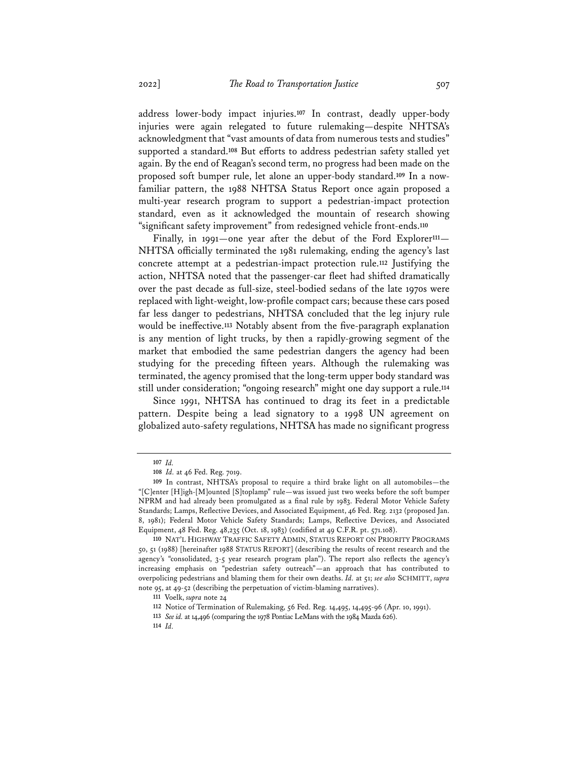address lower-body impact injuries.**<sup>107</sup>** In contrast, deadly upper-body injuries were again relegated to future rulemaking—despite NHTSA's acknowledgment that "vast amounts of data from numerous tests and studies" supported a standard.**<sup>108</sup>** But efforts to address pedestrian safety stalled yet again. By the end of Reagan's second term, no progress had been made on the proposed soft bumper rule, let alone an upper-body standard.**<sup>109</sup>** In a nowfamiliar pattern, the 1988 NHTSA Status Report once again proposed a multi-year research program to support a pedestrian-impact protection standard, even as it acknowledged the mountain of research showing "significant safety improvement" from redesigned vehicle front-ends.**<sup>110</sup>**

Finally, in 1991—one year after the debut of the Ford Explorer<sup>111</sup>— NHTSA officially terminated the 1981 rulemaking, ending the agency's last concrete attempt at a pedestrian-impact protection rule.**<sup>112</sup>** Justifying the action, NHTSA noted that the passenger-car fleet had shifted dramatically over the past decade as full-size, steel-bodied sedans of the late 1970s were replaced with light-weight, low-profile compact cars; because these cars posed far less danger to pedestrians, NHTSA concluded that the leg injury rule would be ineffective.**<sup>113</sup>** Notably absent from the five-paragraph explanation is any mention of light trucks, by then a rapidly-growing segment of the market that embodied the same pedestrian dangers the agency had been studying for the preceding fifteen years. Although the rulemaking was terminated, the agency promised that the long-term upper body standard was still under consideration; "ongoing research" might one day support a rule.**<sup>114</sup>**

Since 1991, NHTSA has continued to drag its feet in a predictable pattern. Despite being a lead signatory to a 1998 UN agreement on globalized auto-safety regulations, NHTSA has made no significant progress

**<sup>107</sup>** *Id.*

**<sup>108</sup>** *Id.* at 46 Fed. Reg. 7019.

**<sup>109</sup>** In contrast, NHTSA's proposal to require a third brake light on all automobiles—the "[C]enter [H]igh-[M]ounted [S]toplamp" rule—was issued just two weeks before the soft bumper NPRM and had already been promulgated as a final rule by 1983. Federal Motor Vehicle Safety Standards; Lamps, Reflective Devices, and Associated Equipment, 46 Fed. Reg. 2132 (proposed Jan. 8, 1981); Federal Motor Vehicle Safety Standards; Lamps, Reflective Devices, and Associated Equipment, 48 Fed. Reg. 48,235 (Oct. 18, 1983) (codified at 49 C.F.R. pt. 571.108).

**<sup>110</sup>** NAT'L HIGHWAY TRAFFIC SAFETY ADMIN, STATUS REPORT ON PRIORITY PROGRAMS 50, 51 (1988) [hereinafter 1988 STATUS REPORT] (describing the results of recent research and the agency's "consolidated, 3-5 year research program plan"). The report also reflects the agency's increasing emphasis on "pedestrian safety outreach"—an approach that has contributed to overpolicing pedestrians and blaming them for their own deaths. *Id.* at 51; *see also* SCHMITT, *supra* note 95, at 49-52 (describing the perpetuation of victim-blaming narratives).

**<sup>111</sup>** Voelk, *supra* note 24

**<sup>112</sup>** Notice of Termination of Rulemaking, 56 Fed. Reg. 14,495, 14,495-96 (Apr. 10, 1991).

**<sup>113</sup>** *See id.* at 14,496 (comparing the 1978 Pontiac LeMans with the 1984 Mazda 626).

**<sup>114</sup>** *Id.*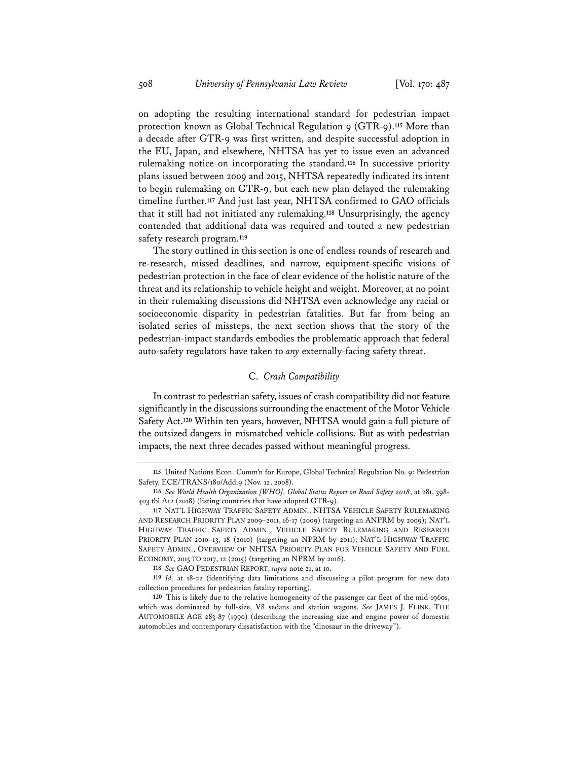on adopting the resulting international standard for pedestrian impact protection known as Global Technical Regulation 9 (GTR-9).**<sup>115</sup>** More than a decade after GTR-9 was first written, and despite successful adoption in the EU, Japan, and elsewhere, NHTSA has yet to issue even an advanced rulemaking notice on incorporating the standard.**<sup>116</sup>** In successive priority plans issued between 2009 and 2015, NHTSA repeatedly indicated its intent to begin rulemaking on GTR-9, but each new plan delayed the rulemaking timeline further.**<sup>117</sup>** And just last year, NHTSA confirmed to GAO officials that it still had not initiated any rulemaking.**<sup>118</sup>** Unsurprisingly, the agency contended that additional data was required and touted a new pedestrian safety research program.**<sup>119</sup>**

The story outlined in this section is one of endless rounds of research and re-research, missed deadlines, and narrow, equipment-specific visions of pedestrian protection in the face of clear evidence of the holistic nature of the threat and its relationship to vehicle height and weight. Moreover, at no point in their rulemaking discussions did NHTSA even acknowledge any racial or socioeconomic disparity in pedestrian fatalities. But far from being an isolated series of missteps, the next section shows that the story of the pedestrian-impact standards embodies the problematic approach that federal auto-safety regulators have taken to *any* externally-facing safety threat.

# C. *Crash Compatibility*

In contrast to pedestrian safety, issues of crash compatibility did not feature significantly in the discussions surrounding the enactment of the Motor Vehicle Safety Act.**<sup>120</sup>** Within ten years, however, NHTSA would gain a full picture of the outsized dangers in mismatched vehicle collisions. But as with pedestrian impacts, the next three decades passed without meaningful progress.

**<sup>115</sup>** United Nations Econ. Comm'n for Europe, Global Technical Regulation No. 9: Pedestrian Safety, ECE/TRANS/180/Add.9 (Nov. 12, 2008).

**<sup>116</sup>** *See World Health Organization [WHO], Global Status Report on Road Safety 2018*, at 281, 398- 403 tbl.A12 (2018) (listing countries that have adopted GTR-9).

**<sup>117</sup>** NAT'L HIGHWAY TRAFFIC SAFETY ADMIN., NHTSA VEHICLE SAFETY RULEMAKING AND RESEARCH PRIORITY PLAN 2009–2011, 16-17 (2009) (targeting an ANPRM by 2009); NAT'L HIGHWAY TRAFFIC SAFETY ADMIN., VEHICLE SAFETY RULEMAKING AND RESEARCH PRIORITY PLAN 2010–13, 18 (2010) (targeting an NPRM by 2011); NAT'L HIGHWAY TRAFFIC SAFETY ADMIN., OVERVIEW OF NHTSA PRIORITY PLAN FOR VEHICLE SAFETY AND FUEL ECONOMY, 2015 TO 2017, 12 (2015) (targeting an NPRM by 2016).

**<sup>118</sup>** *See* GAO PEDESTRIAN REPORT, *supra* note 21, at 10.

**<sup>119</sup>** *Id.* at 18-22 (identifying data limitations and discussing a pilot program for new data collection procedures for pedestrian fatality reporting).

**<sup>120</sup>** This is likely due to the relative homogeneity of the passenger car fleet of the mid-1960s, which was dominated by full-size, V8 sedans and station wagons. *See* JAMES J. FLINK, THE AUTOMOBILE AGE 283-87 (1990) (describing the increasing size and engine power of domestic automobiles and contemporary dissatisfaction with the "dinosaur in the driveway").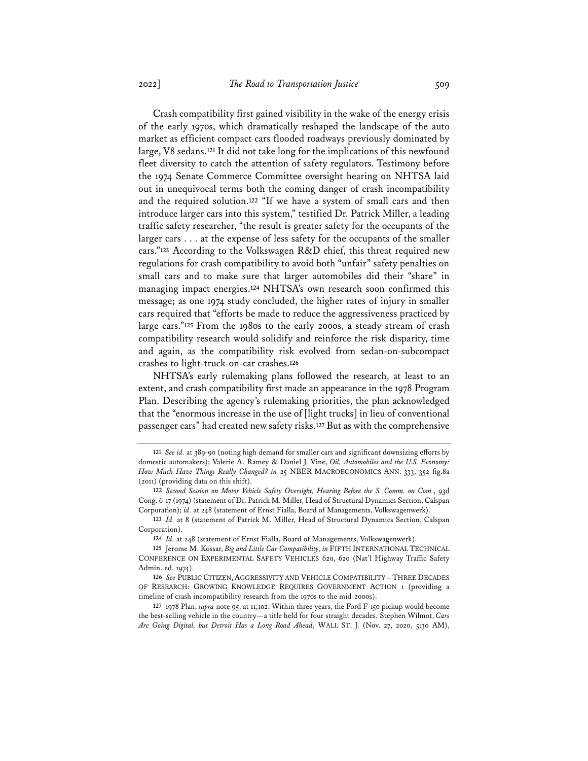Crash compatibility first gained visibility in the wake of the energy crisis of the early 1970s, which dramatically reshaped the landscape of the auto market as efficient compact cars flooded roadways previously dominated by large, V8 sedans.**<sup>121</sup>** It did not take long for the implications of this newfound fleet diversity to catch the attention of safety regulators. Testimony before the 1974 Senate Commerce Committee oversight hearing on NHTSA laid out in unequivocal terms both the coming danger of crash incompatibility and the required solution.**<sup>122</sup>** "If we have a system of small cars and then introduce larger cars into this system," testified Dr. Patrick Miller, a leading traffic safety researcher, "the result is greater safety for the occupants of the larger cars . . . at the expense of less safety for the occupants of the smaller cars."**<sup>123</sup>** According to the Volkswagen R&D chief, this threat required new regulations for crash compatibility to avoid both "unfair" safety penalties on small cars and to make sure that larger automobiles did their "share" in managing impact energies.**<sup>124</sup>** NHTSA's own research soon confirmed this message; as one 1974 study concluded, the higher rates of injury in smaller cars required that "efforts be made to reduce the aggressiveness practiced by large cars."**<sup>125</sup>** From the 1980s to the early 2000s, a steady stream of crash compatibility research would solidify and reinforce the risk disparity, time and again, as the compatibility risk evolved from sedan-on-subcompact crashes to light-truck-on-car crashes.**<sup>126</sup>**

NHTSA's early rulemaking plans followed the research, at least to an extent, and crash compatibility first made an appearance in the 1978 Program Plan. Describing the agency's rulemaking priorities, the plan acknowledged that the "enormous increase in the use of [light trucks] in lieu of conventional passenger cars" had created new safety risks.**<sup>127</sup>** But as with the comprehensive

**<sup>121</sup>** *See id.* at 389-90 (noting high demand for smaller cars and significant downsizing efforts by domestic automakers); Valerie A. Ramey & Daniel J. Vine, *Oil, Automobiles and the U.S. Economy: How Much Have Things Really Changed? in* 25 NBER MACROECONOMICS ANN. 333, 352 fig.8a (2011) (providing data on this shift).

**<sup>122</sup>** *Second Session on Motor Vehicle Safety Oversight, Hearing Before the S. Comm. on Com.*, 93d Cong. 6-17 (1974) (statement of Dr. Patrick M. Miller, Head of Structural Dynamics Section, Calspan Corporation); *id.* at 248 (statement of Ernst Fialla, Board of Managements, Volkswagenwerk).

**<sup>123</sup>** *Id.* at 8 (statement of Patrick M. Miller, Head of Structural Dynamics Section, Calspan Corporation).

**<sup>124</sup>** *Id.* at 248 (statement of Ernst Fialla, Board of Managements, Volkswagenwerk).

**<sup>125</sup>** Jerome M. Kossar, *Big and Little Car Compatibility*, *in* FIFTH INTERNATIONAL TECHNICAL CONFERENCE ON EXPERIMENTAL SAFETY VEHICLES 620, 620 (Nat'l Highway Traffic Safety Admin. ed. 1974).

**<sup>126</sup>** *See* PUBLIC CITIZEN, AGGRESSIVITY AND VEHICLE COMPATIBILITY – THREE DECADES OF RESEARCH: GROWING KNOWLEDGE REQUIRES GOVERNMENT ACTION 1 (providing a timeline of crash incompatibility research from the 1970s to the mid-2000s).

**<sup>127</sup>** 1978 Plan, *supra* note 95, at 11,102. Within three years, the Ford F-150 pickup would become the best-selling vehicle in the country—a title held for four straight decades. Stephen Wilmot, *Cars Are Going Digital, but Detroit Has a Long Road Ahead*, WALL ST. J. (Nov. 27, 2020, 5:30 AM),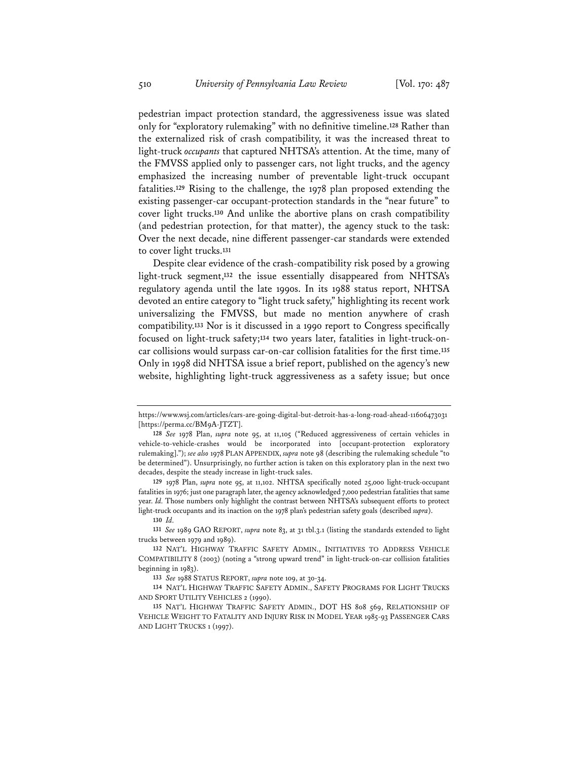pedestrian impact protection standard, the aggressiveness issue was slated only for "exploratory rulemaking" with no definitive timeline.**<sup>128</sup>** Rather than the externalized risk of crash compatibility, it was the increased threat to light-truck *occupants* that captured NHTSA's attention. At the time, many of the FMVSS applied only to passenger cars, not light trucks, and the agency emphasized the increasing number of preventable light-truck occupant fatalities.**<sup>129</sup>** Rising to the challenge, the 1978 plan proposed extending the existing passenger-car occupant-protection standards in the "near future" to cover light trucks.**<sup>130</sup>** And unlike the abortive plans on crash compatibility (and pedestrian protection, for that matter), the agency stuck to the task: Over the next decade, nine different passenger-car standards were extended to cover light trucks.**<sup>131</sup>**

Despite clear evidence of the crash-compatibility risk posed by a growing light-truck segment,**<sup>132</sup>** the issue essentially disappeared from NHTSA's regulatory agenda until the late 1990s. In its 1988 status report, NHTSA devoted an entire category to "light truck safety," highlighting its recent work universalizing the FMVSS, but made no mention anywhere of crash compatibility.**<sup>133</sup>** Nor is it discussed in a 1990 report to Congress specifically focused on light-truck safety;**<sup>134</sup>** two years later, fatalities in light-truck-oncar collisions would surpass car-on-car collision fatalities for the first time.**<sup>135</sup>** Only in 1998 did NHTSA issue a brief report, published on the agency's new website, highlighting light-truck aggressiveness as a safety issue; but once

https://www.wsj.com/articles/cars-are-going-digital-but-detroit-has-a-long-road-ahead-11606473031 [https://perma.cc/BM9A-JTZT].

**<sup>128</sup>** *See* 1978 Plan, *supra* note 95, at 11,105 ("Reduced aggressiveness of certain vehicles in vehicle-to-vehicle-crashes would be incorporated into [occupant-protection exploratory rulemaking]."); *see also* 1978 PLAN APPENDIX, *supra* note 98 (describing the rulemaking schedule "to be determined"). Unsurprisingly, no further action is taken on this exploratory plan in the next two decades, despite the steady increase in light-truck sales.

**<sup>129</sup>** 1978 Plan, *supra* note 95, at 11,102. NHTSA specifically noted 25,000 light-truck-occupant fatalities in 1976; just one paragraph later, the agency acknowledged 7,000 pedestrian fatalities that same year. *Id.* Those numbers only highlight the contrast between NHTSA's subsequent efforts to protect light-truck occupants and its inaction on the 1978 plan's pedestrian safety goals (described *supra*).

**<sup>130</sup>** *Id.*

**<sup>131</sup>** *See* 1989 GAO REPORT, *supra* note 83, at 31 tbl.3.1 (listing the standards extended to light trucks between 1979 and 1989).

**<sup>132</sup>** NAT'L HIGHWAY TRAFFIC SAFETY ADMIN., INITIATIVES TO ADDRESS VEHICLE COMPATIBILITY 8 (2003) (noting a "strong upward trend" in light-truck-on-car collision fatalities beginning in 1983).

**<sup>133</sup>** *See* 1988 STATUS REPORT, *supra* note 109, at 30-34.

**<sup>134</sup>** NAT'L HIGHWAY TRAFFIC SAFETY ADMIN., SAFETY PROGRAMS FOR LIGHT TRUCKS AND SPORT UTILITY VEHICLES 2 (1990).

**<sup>135</sup>** NAT'L HIGHWAY TRAFFIC SAFETY ADMIN., DOT HS 808 569, RELATIONSHIP OF VEHICLE WEIGHT TO FATALITY AND INJURY RISK IN MODEL YEAR 1985-93 PASSENGER CARS AND LIGHT TRUCKS 1 (1997).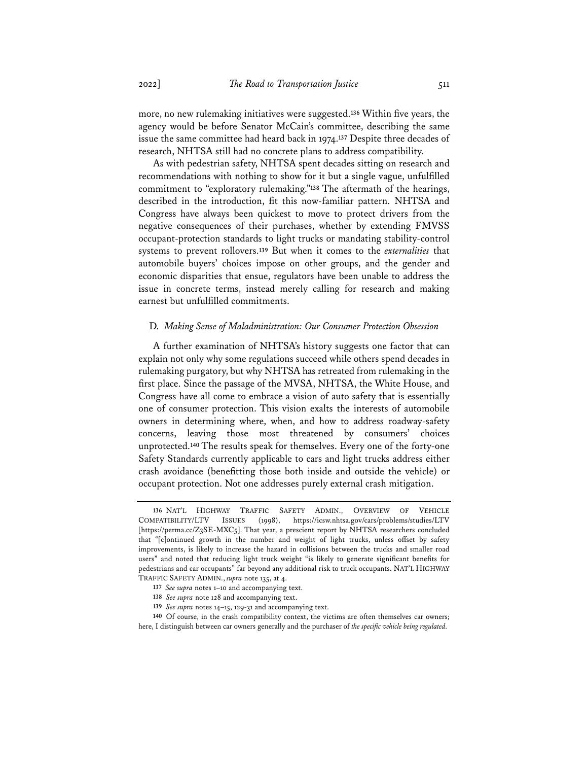more, no new rulemaking initiatives were suggested.**<sup>136</sup>** Within five years, the agency would be before Senator McCain's committee, describing the same issue the same committee had heard back in 1974.**<sup>137</sup>** Despite three decades of research, NHTSA still had no concrete plans to address compatibility.

As with pedestrian safety, NHTSA spent decades sitting on research and recommendations with nothing to show for it but a single vague, unfulfilled commitment to "exploratory rulemaking."**<sup>138</sup>** The aftermath of the hearings, described in the introduction, fit this now-familiar pattern. NHTSA and Congress have always been quickest to move to protect drivers from the negative consequences of their purchases, whether by extending FMVSS occupant-protection standards to light trucks or mandating stability-control systems to prevent rollovers.**<sup>139</sup>** But when it comes to the *externalities* that automobile buyers' choices impose on other groups, and the gender and economic disparities that ensue, regulators have been unable to address the issue in concrete terms, instead merely calling for research and making earnest but unfulfilled commitments.

### D. *Making Sense of Maladministration: Our Consumer Protection Obsession*

A further examination of NHTSA's history suggests one factor that can explain not only why some regulations succeed while others spend decades in rulemaking purgatory, but why NHTSA has retreated from rulemaking in the first place. Since the passage of the MVSA, NHTSA, the White House, and Congress have all come to embrace a vision of auto safety that is essentially one of consumer protection. This vision exalts the interests of automobile owners in determining where, when, and how to address roadway-safety concerns, leaving those most threatened by consumers' choices unprotected.**<sup>140</sup>** The results speak for themselves. Every one of the forty-one Safety Standards currently applicable to cars and light trucks address either crash avoidance (benefitting those both inside and outside the vehicle) or occupant protection. Not one addresses purely external crash mitigation.

**<sup>136</sup>** NAT'L HIGHWAY TRAFFIC SAFETY ADMIN., OVERVIEW OF VEHICLE COMPATIBILITY/LTV ISSUES (1998), https://icsw.nhtsa.gov/cars/problems/studies/LTV [https://perma.cc/Z3SE-MXC5]. That year, a prescient report by NHTSA researchers concluded that "[c]ontinued growth in the number and weight of light trucks, unless offset by safety improvements, is likely to increase the hazard in collisions between the trucks and smaller road users" and noted that reducing light truck weight "is likely to generate significant benefits for pedestrians and car occupants" far beyond any additional risk to truck occupants. NAT'L HIGHWAY TRAFFIC SAFETY ADMIN., *supra* note 135, at 4.

**<sup>137</sup>** *See supra* notes 1–10 and accompanying text.

**<sup>138</sup>** *See supra* note 128 and accompanying text.

**<sup>139</sup>** *See supra* notes 14–15, 129-31 and accompanying text.

**<sup>140</sup>** Of course, in the crash compatibility context, the victims are often themselves car owners; here, I distinguish between car owners generally and the purchaser of *the specific vehicle being regulated.*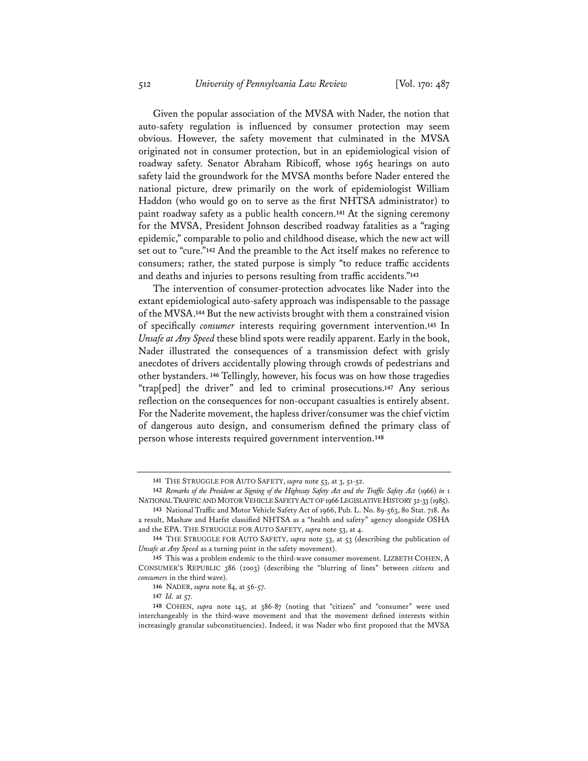Given the popular association of the MVSA with Nader, the notion that auto-safety regulation is influenced by consumer protection may seem obvious. However, the safety movement that culminated in the MVSA originated not in consumer protection, but in an epidemiological vision of roadway safety. Senator Abraham Ribicoff, whose 1965 hearings on auto safety laid the groundwork for the MVSA months before Nader entered the national picture, drew primarily on the work of epidemiologist William Haddon (who would go on to serve as the first NHTSA administrator) to paint roadway safety as a public health concern.**<sup>141</sup>** At the signing ceremony for the MVSA, President Johnson described roadway fatalities as a "raging epidemic," comparable to polio and childhood disease, which the new act will set out to "cure."**<sup>142</sup>** And the preamble to the Act itself makes no reference to consumers; rather, the stated purpose is simply "to reduce traffic accidents and deaths and injuries to persons resulting from traffic accidents."**<sup>143</sup>**

The intervention of consumer-protection advocates like Nader into the extant epidemiological auto-safety approach was indispensable to the passage of the MVSA.**<sup>144</sup>** But the new activists brought with them a constrained vision of specifically *consumer* interests requiring government intervention.**<sup>145</sup>** In *Unsafe at Any Speed* these blind spots were readily apparent. Early in the book, Nader illustrated the consequences of a transmission defect with grisly anecdotes of drivers accidentally plowing through crowds of pedestrians and other bystanders. **<sup>146</sup>** Tellingly, however, his focus was on how those tragedies "trap[ped] the driver" and led to criminal prosecutions.**<sup>147</sup>** Any serious reflection on the consequences for non-occupant casualties is entirely absent. For the Naderite movement, the hapless driver/consumer was the chief victim of dangerous auto design, and consumerism defined the primary class of person whose interests required government intervention.**<sup>148</sup>**

**<sup>141</sup>** THE STRUGGLE FOR AUTO SAFETY, *supra* note 53, at 3, 51-52.

**<sup>142</sup>** *Remarks of the President at Signing of the Highway Safety Act and the Traffic Safety Act* (1966) *in* 1 NATIONAL TRAFFIC AND MOTOR VEHICLE SAFETY ACT OF 1966 LEGISLATIVE HISTORY 32-33 (1985).

**<sup>143</sup>** National Traffic and Motor Vehicle Safety Act of 1966, Pub. L. No. 89-563, 80 Stat. 718. As a result, Mashaw and Harfst classified NHTSA as a "health and safety" agency alongside OSHA and the EPA. THE STRUGGLE FOR AUTO SAFETY, *supra* note 53, at 4.

**<sup>144</sup>** THE STRUGGLE FOR AUTO SAFETY, *supra* note 53, at 53 (describing the publication of *Unsafe at Any Speed* as a turning point in the safety movement).

**<sup>145</sup>** This was a problem endemic to the third-wave consumer movement. LIZBETH COHEN, A CONSUMER'S REPUBLIC 386 (2003) (describing the "blurring of lines" between *citizens* and *consumers* in the third wave).

**<sup>146</sup>** NADER, *supra* note 84, at 56-57.

**<sup>147</sup>** *Id.* at 57.

**<sup>148</sup>** COHEN, *supra* note 145, at 386-87 (noting that "citizen" and "consumer" were used interchangeably in the third-wave movement and that the movement defined interests within increasingly granular subconstituencies). Indeed, it was Nader who first proposed that the MVSA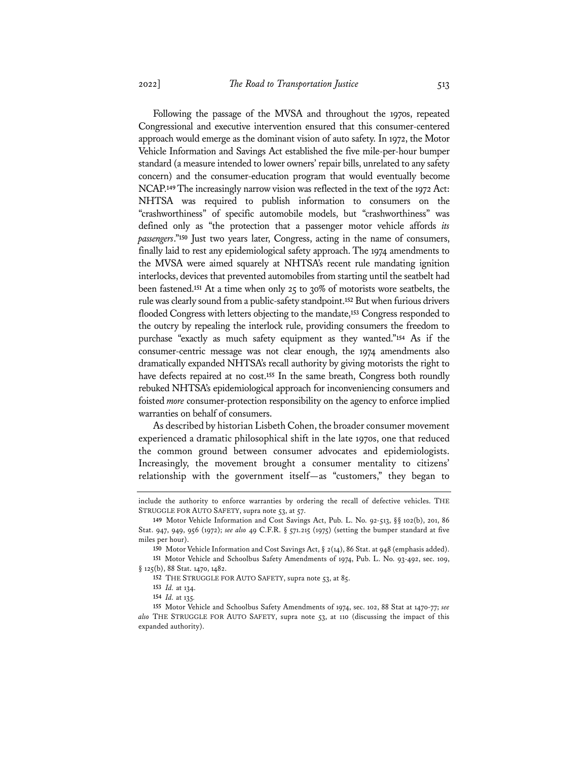Following the passage of the MVSA and throughout the 1970s, repeated Congressional and executive intervention ensured that this consumer-centered approach would emerge as the dominant vision of auto safety. In 1972, the Motor Vehicle Information and Savings Act established the five mile-per-hour bumper standard (a measure intended to lower owners' repair bills, unrelated to any safety concern) and the consumer-education program that would eventually become NCAP.**149**The increasingly narrow vision was reflected in the text of the 1972 Act: NHTSA was required to publish information to consumers on the "crashworthiness" of specific automobile models, but "crashworthiness" was defined only as "the protection that a passenger motor vehicle affords *its passengers*."**<sup>150</sup>** Just two years later, Congress, acting in the name of consumers, finally laid to rest any epidemiological safety approach. The 1974 amendments to the MVSA were aimed squarely at NHTSA's recent rule mandating ignition interlocks, devices that prevented automobiles from starting until the seatbelt had been fastened.**<sup>151</sup>** At a time when only 25 to 30% of motorists wore seatbelts, the rule was clearly sound from a public-safety standpoint.**<sup>152</sup>** But when furious drivers flooded Congress with letters objecting to the mandate,**<sup>153</sup>** Congress responded to the outcry by repealing the interlock rule, providing consumers the freedom to purchase "exactly as much safety equipment as they wanted."**<sup>154</sup>** As if the consumer-centric message was not clear enough, the 1974 amendments also dramatically expanded NHTSA's recall authority by giving motorists the right to have defects repaired at no cost.**<sup>155</sup>** In the same breath, Congress both roundly rebuked NHTSA's epidemiological approach for inconveniencing consumers and foisted *more* consumer-protection responsibility on the agency to enforce implied warranties on behalf of consumers.

As described by historian Lisbeth Cohen, the broader consumer movement experienced a dramatic philosophical shift in the late 1970s, one that reduced the common ground between consumer advocates and epidemiologists. Increasingly, the movement brought a consumer mentality to citizens' relationship with the government itself—as "customers," they began to

include the authority to enforce warranties by ordering the recall of defective vehicles. THE STRUGGLE FOR AUTO SAFETY, supra note 53, at 57.

**<sup>149</sup>** Motor Vehicle Information and Cost Savings Act, Pub. L. No. 92-513, §§ 102(b), 201, 86 Stat. 947, 949, 956 (1972); *see also* 49 C.F.R. § 571.215 (1975) (setting the bumper standard at five miles per hour).

**<sup>150</sup>** Motor Vehicle Information and Cost Savings Act, § 2(14), 86 Stat. at 948 (emphasis added).

**<sup>151</sup>** Motor Vehicle and Schoolbus Safety Amendments of 1974, Pub. L. No. 93-492, sec. 109, § 125(b), 88 Stat. 1470, 1482.

**<sup>152</sup>** THE STRUGGLE FOR AUTO SAFETY, supra note 53, at 85.

**<sup>153</sup>** *Id.* at 134.

**<sup>154</sup>** *Id.* at 135*.*

**<sup>155</sup>** Motor Vehicle and Schoolbus Safety Amendments of 1974, sec. 102, 88 Stat at 1470-77; *see also* THE STRUGGLE FOR AUTO SAFETY, supra note 53, at 110 (discussing the impact of this expanded authority).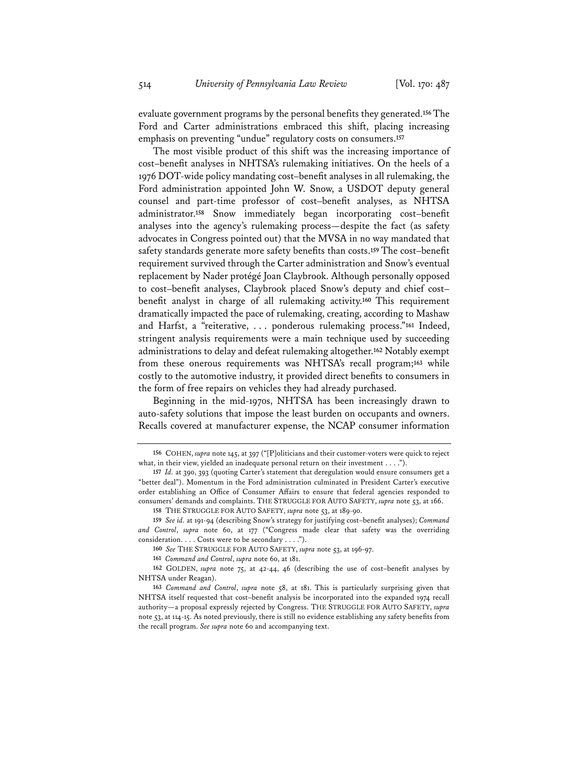evaluate government programs by the personal benefits they generated.**<sup>156</sup>** The Ford and Carter administrations embraced this shift, placing increasing emphasis on preventing "undue" regulatory costs on consumers.**<sup>157</sup>**

The most visible product of this shift was the increasing importance of cost–benefit analyses in NHTSA's rulemaking initiatives. On the heels of a 1976 DOT-wide policy mandating cost–benefit analyses in all rulemaking, the Ford administration appointed John W. Snow, a USDOT deputy general counsel and part-time professor of cost–benefit analyses, as NHTSA administrator.**<sup>158</sup>** Snow immediately began incorporating cost–benefit analyses into the agency's rulemaking process—despite the fact (as safety advocates in Congress pointed out) that the MVSA in no way mandated that safety standards generate more safety benefits than costs.**<sup>159</sup>** The cost–benefit requirement survived through the Carter administration and Snow's eventual replacement by Nader protégé Joan Claybrook. Although personally opposed to cost–benefit analyses, Claybrook placed Snow's deputy and chief cost– benefit analyst in charge of all rulemaking activity.**<sup>160</sup>** This requirement dramatically impacted the pace of rulemaking, creating, according to Mashaw and Harfst, a "reiterative, . . . ponderous rulemaking process."**<sup>161</sup>** Indeed, stringent analysis requirements were a main technique used by succeeding administrations to delay and defeat rulemaking altogether.**<sup>162</sup>** Notably exempt from these onerous requirements was NHTSA's recall program;**<sup>163</sup>** while costly to the automotive industry, it provided direct benefits to consumers in the form of free repairs on vehicles they had already purchased.

Beginning in the mid-1970s, NHTSA has been increasingly drawn to auto-safety solutions that impose the least burden on occupants and owners. Recalls covered at manufacturer expense, the NCAP consumer information

**<sup>156</sup>** COHEN, *supra* note 145, at 397 ("[P]oliticians and their customer-voters were quick to reject what, in their view, yielded an inadequate personal return on their investment . . . .").

**<sup>157</sup>** *Id.* at 390, 393 (quoting Carter's statement that deregulation would ensure consumers get a "better deal"). Momentum in the Ford administration culminated in President Carter's executive order establishing an Office of Consumer Affairs to ensure that federal agencies responded to consumers' demands and complaints. THE STRUGGLE FOR AUTO SAFETY, *supra* note 53, at 166.

**<sup>158</sup>** THE STRUGGLE FOR AUTO SAFETY, *supra* note 53, at 189-90.

**<sup>159</sup>** *See id.* at 191-94 (describing Snow's strategy for justifying cost–benefit analyses); *Command and Control*, *supra* note 60, at 177 ("Congress made clear that safety was the overriding consideration. . . . Costs were to be secondary . . . .").

**<sup>160</sup>** *See* THE STRUGGLE FOR AUTO SAFETY, *supra* note 53, at 196-97.

**<sup>161</sup>** *Command and Control*, *supra* note 60, at 181.

**<sup>162</sup>** GOLDEN, *supra* note 75, at 42-44, 46 (describing the use of cost–benefit analyses by NHTSA under Reagan).

**<sup>163</sup>** *Command and Control*, *supra* note 58, at 181. This is particularly surprising given that NHTSA itself requested that cost–benefit analysis be incorporated into the expanded 1974 recall authority—a proposal expressly rejected by Congress. THE STRUGGLE FOR AUTO SAFETY, *supra* note 53, at 114-15. As noted previously, there is still no evidence establishing any safety benefits from the recall program. *See supra* note 60 and accompanying text.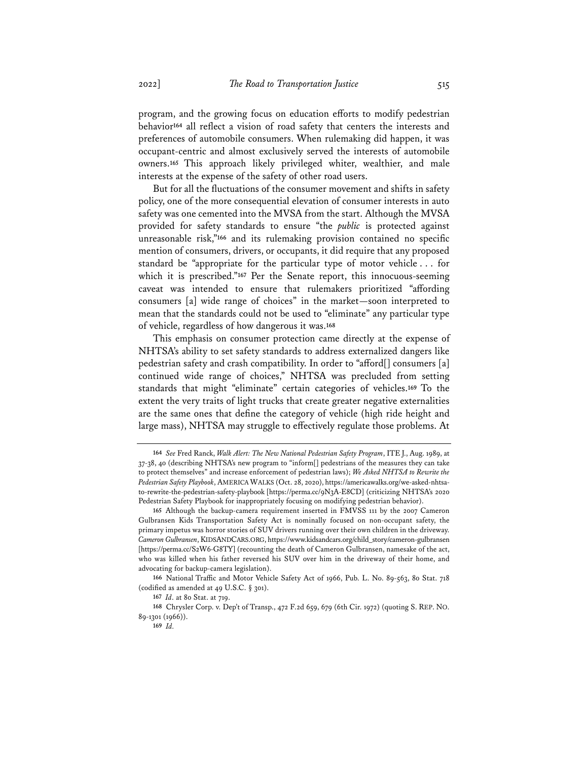program, and the growing focus on education efforts to modify pedestrian behavior**<sup>164</sup>** all reflect a vision of road safety that centers the interests and preferences of automobile consumers. When rulemaking did happen, it was occupant-centric and almost exclusively served the interests of automobile owners.**<sup>165</sup>** This approach likely privileged whiter, wealthier, and male interests at the expense of the safety of other road users.

But for all the fluctuations of the consumer movement and shifts in safety policy, one of the more consequential elevation of consumer interests in auto safety was one cemented into the MVSA from the start. Although the MVSA provided for safety standards to ensure "the *public* is protected against unreasonable risk,"**<sup>166</sup>** and its rulemaking provision contained no specific mention of consumers, drivers, or occupants, it did require that any proposed standard be "appropriate for the particular type of motor vehicle . . . for which it is prescribed.<sup>"167</sup> Per the Senate report, this innocuous-seeming caveat was intended to ensure that rulemakers prioritized "affording consumers [a] wide range of choices" in the market—soon interpreted to mean that the standards could not be used to "eliminate" any particular type of vehicle, regardless of how dangerous it was.**<sup>168</sup>**

This emphasis on consumer protection came directly at the expense of NHTSA's ability to set safety standards to address externalized dangers like pedestrian safety and crash compatibility. In order to "afford[] consumers [a] continued wide range of choices," NHTSA was precluded from setting standards that might "eliminate" certain categories of vehicles.**<sup>169</sup>** To the extent the very traits of light trucks that create greater negative externalities are the same ones that define the category of vehicle (high ride height and large mass), NHTSA may struggle to effectively regulate those problems. At

**<sup>164</sup>** *See* Fred Ranck, *Walk Alert: The New National Pedestrian Safety Program*, ITE J., Aug. 1989, at 37-38, 40 (describing NHTSA's new program to "inform[] pedestrians of the measures they can take to protect themselves" and increase enforcement of pedestrian laws); *We Asked NHTSA to Rewrite the Pedestrian Safety Playbook*, AMERICA WALKS (Oct. 28, 2020), https://americawalks.org/we-asked-nhtsato-rewrite-the-pedestrian-safety-playbook [https://perma.cc/9N3A-E8CD] (criticizing NHTSA's 2020 Pedestrian Safety Playbook for inappropriately focusing on modifying pedestrian behavior).

**<sup>165</sup>** Although the backup-camera requirement inserted in FMVSS 111 by the 2007 Cameron Gulbransen Kids Transportation Safety Act is nominally focused on non-occupant safety, the primary impetus was horror stories of SUV drivers running over their own children in the driveway. *Cameron Gulbransen*, KIDSANDCARS.ORG, https://www.kidsandcars.org/child\_story/cameron-gulbransen [https://perma.cc/S2W6-G8TY] (recounting the death of Cameron Gulbransen, namesake of the act, who was killed when his father reversed his SUV over him in the driveway of their home, and advocating for backup-camera legislation).

**<sup>166</sup>** National Traffic and Motor Vehicle Safety Act of 1966, Pub. L. No. 89-563, 80 Stat. 718 (codified as amended at 49 U.S.C. § 301).

**<sup>167</sup>** *Id*. at 80 Stat. at 719.

**<sup>168</sup>** Chrysler Corp. v. Dep't of Transp., 472 F.2d 659, 679 (6th Cir. 1972) (quoting S. REP. NO. 89-1301 (1966)).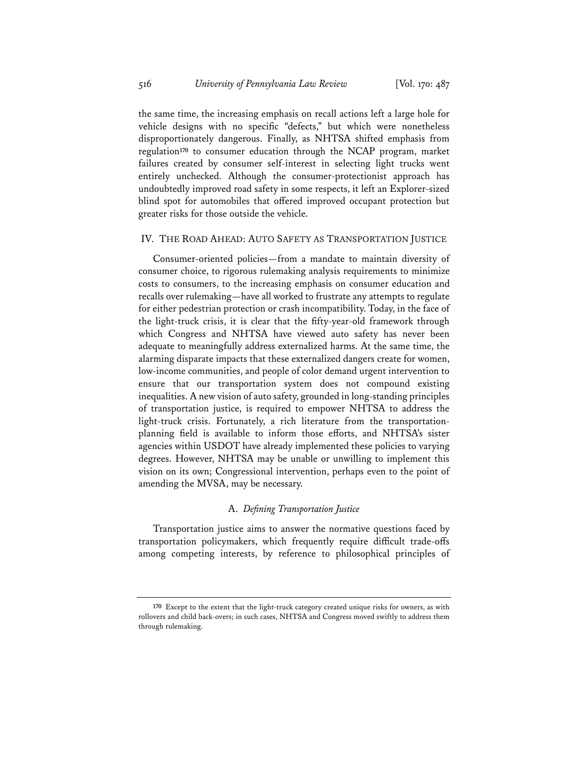the same time, the increasing emphasis on recall actions left a large hole for vehicle designs with no specific "defects," but which were nonetheless disproportionately dangerous. Finally, as NHTSA shifted emphasis from regulation**<sup>170</sup>** to consumer education through the NCAP program, market failures created by consumer self-interest in selecting light trucks went entirely unchecked. Although the consumer-protectionist approach has undoubtedly improved road safety in some respects, it left an Explorer-sized blind spot for automobiles that offered improved occupant protection but greater risks for those outside the vehicle.

#### IV. THE ROAD AHEAD: AUTO SAFETY AS TRANSPORTATION JUSTICE

Consumer-oriented policies—from a mandate to maintain diversity of consumer choice, to rigorous rulemaking analysis requirements to minimize costs to consumers, to the increasing emphasis on consumer education and recalls over rulemaking—have all worked to frustrate any attempts to regulate for either pedestrian protection or crash incompatibility. Today, in the face of the light-truck crisis, it is clear that the fifty-year-old framework through which Congress and NHTSA have viewed auto safety has never been adequate to meaningfully address externalized harms. At the same time, the alarming disparate impacts that these externalized dangers create for women, low-income communities, and people of color demand urgent intervention to ensure that our transportation system does not compound existing inequalities. A new vision of auto safety, grounded in long-standing principles of transportation justice, is required to empower NHTSA to address the light-truck crisis. Fortunately, a rich literature from the transportationplanning field is available to inform those efforts, and NHTSA's sister agencies within USDOT have already implemented these policies to varying degrees. However, NHTSA may be unable or unwilling to implement this vision on its own; Congressional intervention, perhaps even to the point of amending the MVSA, may be necessary.

#### A. *Defining Transportation Justice*

Transportation justice aims to answer the normative questions faced by transportation policymakers, which frequently require difficult trade-offs among competing interests, by reference to philosophical principles of

**<sup>170</sup>** Except to the extent that the light-truck category created unique risks for owners, as with rollovers and child back-overs; in such cases, NHTSA and Congress moved swiftly to address them through rulemaking.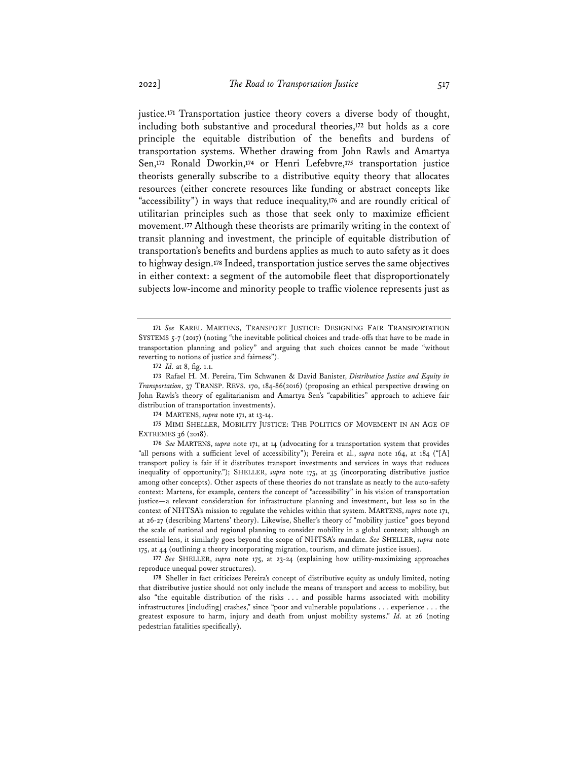justice.**<sup>171</sup>** Transportation justice theory covers a diverse body of thought, including both substantive and procedural theories,**<sup>172</sup>** but holds as a core principle the equitable distribution of the benefits and burdens of transportation systems. Whether drawing from John Rawls and Amartya Sen,**<sup>173</sup>** Ronald Dworkin,**<sup>174</sup>** or Henri Lefebvre,**<sup>175</sup>** transportation justice theorists generally subscribe to a distributive equity theory that allocates resources (either concrete resources like funding or abstract concepts like "accessibility") in ways that reduce inequality,**<sup>176</sup>** and are roundly critical of utilitarian principles such as those that seek only to maximize efficient movement.**<sup>177</sup>** Although these theorists are primarily writing in the context of transit planning and investment, the principle of equitable distribution of transportation's benefits and burdens applies as much to auto safety as it does to highway design.**<sup>178</sup>** Indeed, transportation justice serves the same objectives in either context: a segment of the automobile fleet that disproportionately subjects low-income and minority people to traffic violence represents just as

**174** MARTENS, *supra* note 171, at 13-14.

**175** MIMI SHELLER, MOBILITY JUSTICE: THE POLITICS OF MOVEMENT IN AN AGE OF EXTREMES 36 (2018).

**176** *See* MARTENS, *supra* note 171, at 14 (advocating for a transportation system that provides "all persons with a sufficient level of accessibility"); Pereira et al., *supra* note 164, at 184 ("[A] transport policy is fair if it distributes transport investments and services in ways that reduces inequality of opportunity."); SHELLER, *supra* note 175, at 35 (incorporating distributive justice among other concepts). Other aspects of these theories do not translate as neatly to the auto-safety context: Martens, for example, centers the concept of "accessibility" in his vision of transportation justice—a relevant consideration for infrastructure planning and investment, but less so in the context of NHTSA's mission to regulate the vehicles within that system. MARTENS, *supra* note 171, at 26-27 (describing Martens' theory). Likewise, Sheller's theory of "mobility justice" goes beyond the scale of national and regional planning to consider mobility in a global context; although an essential lens, it similarly goes beyond the scope of NHTSA's mandate. *See* SHELLER, *supra* note 175, at 44 (outlining a theory incorporating migration, tourism, and climate justice issues).

**177** *See* SHELLER, *supra* note 175, at 23-24 (explaining how utility-maximizing approaches reproduce unequal power structures).

**178** Sheller in fact criticizes Pereira's concept of distributive equity as unduly limited, noting that distributive justice should not only include the means of transport and access to mobility, but also "the equitable distribution of the risks . . . and possible harms associated with mobility infrastructures [including] crashes," since "poor and vulnerable populations . . . experience . . . the greatest exposure to harm, injury and death from unjust mobility systems." *Id.* at 26 (noting pedestrian fatalities specifically).

**<sup>171</sup>** *See* KAREL MARTENS, TRANSPORT JUSTICE: DESIGNING FAIR TRANSPORTATION SYSTEMS 5-7 (2017) (noting "the inevitable political choices and trade-offs that have to be made in transportation planning and policy" and arguing that such choices cannot be made "without reverting to notions of justice and fairness").

**<sup>172</sup>** *Id.* at 8, fig. 1.1.

**<sup>173</sup>** Rafael H. M. Pereira, Tim Schwanen & David Banister, *Distributive Justice and Equity in Transportation*, 37 TRANSP. REVS. 170, 184-86(2016) (proposing an ethical perspective drawing on John Rawls's theory of egalitarianism and Amartya Sen's "capabilities" approach to achieve fair distribution of transportation investments).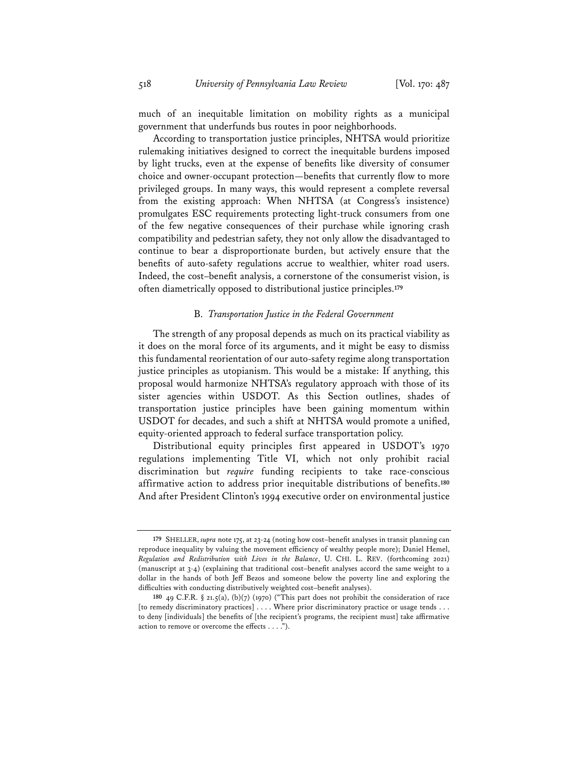much of an inequitable limitation on mobility rights as a municipal government that underfunds bus routes in poor neighborhoods.

According to transportation justice principles, NHTSA would prioritize rulemaking initiatives designed to correct the inequitable burdens imposed by light trucks, even at the expense of benefits like diversity of consumer choice and owner-occupant protection—benefits that currently flow to more privileged groups. In many ways, this would represent a complete reversal from the existing approach: When NHTSA (at Congress's insistence) promulgates ESC requirements protecting light-truck consumers from one of the few negative consequences of their purchase while ignoring crash compatibility and pedestrian safety, they not only allow the disadvantaged to continue to bear a disproportionate burden, but actively ensure that the benefits of auto-safety regulations accrue to wealthier, whiter road users. Indeed, the cost–benefit analysis, a cornerstone of the consumerist vision, is often diametrically opposed to distributional justice principles.**<sup>179</sup>**

#### B. *Transportation Justice in the Federal Government*

The strength of any proposal depends as much on its practical viability as it does on the moral force of its arguments, and it might be easy to dismiss this fundamental reorientation of our auto-safety regime along transportation justice principles as utopianism. This would be a mistake: If anything, this proposal would harmonize NHTSA's regulatory approach with those of its sister agencies within USDOT. As this Section outlines, shades of transportation justice principles have been gaining momentum within USDOT for decades, and such a shift at NHTSA would promote a unified, equity-oriented approach to federal surface transportation policy.

Distributional equity principles first appeared in USDOT's 1970 regulations implementing Title VI, which not only prohibit racial discrimination but *require* funding recipients to take race-conscious affirmative action to address prior inequitable distributions of benefits.**<sup>180</sup>** And after President Clinton's 1994 executive order on environmental justice

**<sup>179</sup>** SHELLER, *supra* note 175, at 23-24 (noting how cost–benefit analyses in transit planning can reproduce inequality by valuing the movement efficiency of wealthy people more); Daniel Hemel, *Regulation and Redistribution with Lives in the Balance*, U. CHI. L. REV. (forthcoming 2021) (manuscript at 3-4) (explaining that traditional cost–benefit analyses accord the same weight to a dollar in the hands of both Jeff Bezos and someone below the poverty line and exploring the difficulties with conducting distributively weighted cost–benefit analyses).

**<sup>180</sup>** 49 C.F.R. § 21.5(a), (b)(7) (1970) ("This part does not prohibit the consideration of race [to remedy discriminatory practices] . . . . Where prior discriminatory practice or usage tends . . . to deny [individuals] the benefits of [the recipient's programs, the recipient must] take affirmative action to remove or overcome the effects . . . .").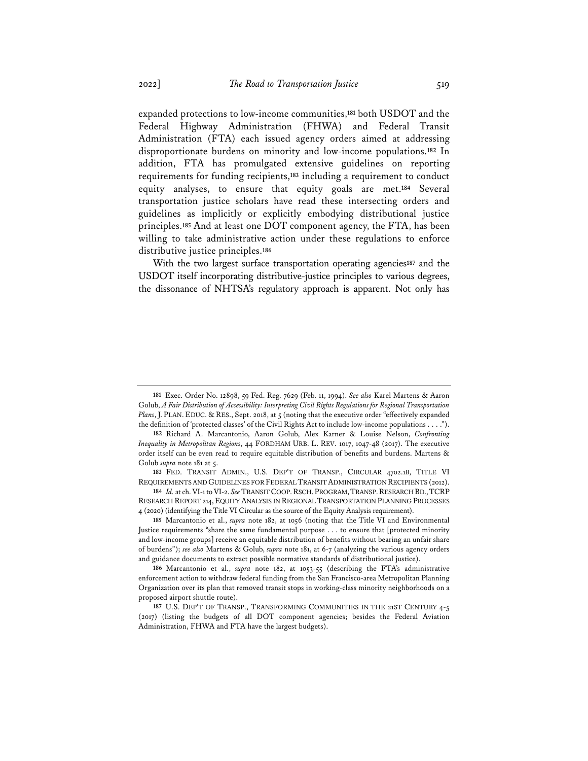expanded protections to low-income communities,**<sup>181</sup>** both USDOT and the Federal Highway Administration (FHWA) and Federal Transit Administration (FTA) each issued agency orders aimed at addressing disproportionate burdens on minority and low-income populations.**<sup>182</sup>** In addition, FTA has promulgated extensive guidelines on reporting requirements for funding recipients,**<sup>183</sup>** including a requirement to conduct equity analyses, to ensure that equity goals are met.**<sup>184</sup>** Several transportation justice scholars have read these intersecting orders and guidelines as implicitly or explicitly embodying distributional justice principles.**<sup>185</sup>** And at least one DOT component agency, the FTA, has been willing to take administrative action under these regulations to enforce distributive justice principles.**<sup>186</sup>**

With the two largest surface transportation operating agencies**<sup>187</sup>** and the USDOT itself incorporating distributive-justice principles to various degrees, the dissonance of NHTSA's regulatory approach is apparent. Not only has

**184** *Id.* at ch. VI-1 to VI-2. *See*TRANSIT COOP.RSCH.PROGRAM,TRANSP.RESEARCH BD.,TCRP RESEARCH REPORT 214, EQUITY ANALYSIS IN REGIONAL TRANSPORTATION PLANNING PROCESSES 4 (2020) (identifying the Title VI Circular as the source of the Equity Analysis requirement).

**185** Marcantonio et al., *supra* note 182, at 1056 (noting that the Title VI and Environmental Justice requirements "share the same fundamental purpose . . . to ensure that [protected minority and low-income groups] receive an equitable distribution of benefits without bearing an unfair share of burdens"); *see also* Martens & Golub, *supra* note 181, at 6-7 (analyzing the various agency orders and guidance documents to extract possible normative standards of distributional justice).

**186** Marcantonio et al., *supra* note 182, at 1053-55 (describing the FTA's administrative enforcement action to withdraw federal funding from the San Francisco-area Metropolitan Planning Organization over its plan that removed transit stops in working-class minority neighborhoods on a proposed airport shuttle route).

**<sup>181</sup>** Exec. Order No. 12898, 59 Fed. Reg. 7629 (Feb. 11, 1994). *See also* Karel Martens & Aaron Golub, *A Fair Distribution of Accessibility: Interpreting Civil Rights Regulations for Regional Transportation Plans*, J. PLAN. EDUC. & RES., Sept. 2018, at 5 (noting that the executive order "effectively expanded the definition of 'protected classes' of the Civil Rights Act to include low-income populations . . . .").

**<sup>182</sup>** Richard A. Marcantonio, Aaron Golub, Alex Karner & Louise Nelson, *Confronting Inequality in Metropolitan Regions*, 44 FORDHAM URB. L. REV. 1017, 1047-48 (2017). The executive order itself can be even read to require equitable distribution of benefits and burdens. Martens & Golub *supra* note 181 at 5.

**<sup>183</sup>** FED. TRANSIT ADMIN., U.S. DEP'T OF TRANSP., CIRCULAR 4702.1B, TITLE VI REQUIREMENTS AND GUIDELINES FOR FEDERAL TRANSIT ADMINISTRATION RECIPIENTS (2012).

**<sup>187</sup>** U.S. DEP'T OF TRANSP., TRANSFORMING COMMUNITIES IN THE 21ST CENTURY 4-5 (2017) (listing the budgets of all DOT component agencies; besides the Federal Aviation Administration, FHWA and FTA have the largest budgets).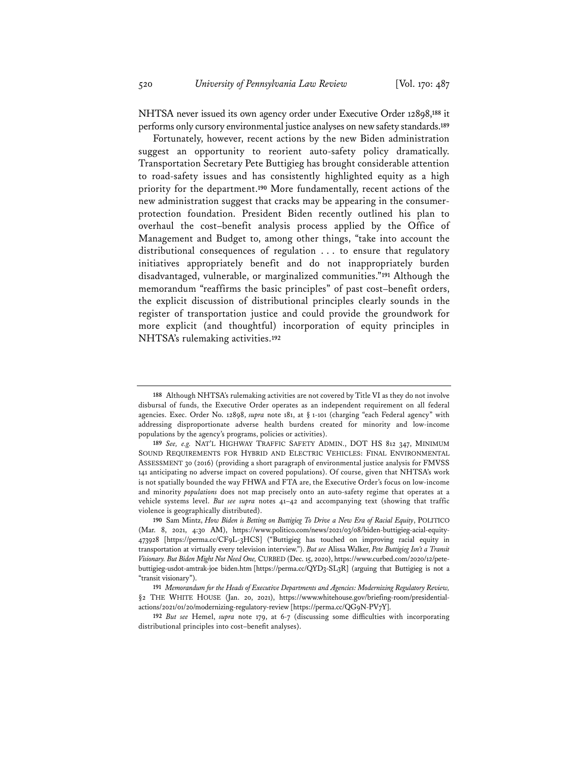NHTSA never issued its own agency order under Executive Order 12898,**<sup>188</sup>** it performs only cursory environmental justice analyses on new safety standards.**<sup>189</sup>**

Fortunately, however, recent actions by the new Biden administration suggest an opportunity to reorient auto-safety policy dramatically. Transportation Secretary Pete Buttigieg has brought considerable attention to road-safety issues and has consistently highlighted equity as a high priority for the department.**<sup>190</sup>** More fundamentally, recent actions of the new administration suggest that cracks may be appearing in the consumerprotection foundation. President Biden recently outlined his plan to overhaul the cost–benefit analysis process applied by the Office of Management and Budget to, among other things, "take into account the distributional consequences of regulation . . . to ensure that regulatory initiatives appropriately benefit and do not inappropriately burden disadvantaged, vulnerable, or marginalized communities."**<sup>191</sup>** Although the memorandum "reaffirms the basic principles" of past cost–benefit orders, the explicit discussion of distributional principles clearly sounds in the register of transportation justice and could provide the groundwork for more explicit (and thoughtful) incorporation of equity principles in NHTSA's rulemaking activities.**<sup>192</sup>**

**<sup>188</sup>** Although NHTSA's rulemaking activities are not covered by Title VI as they do not involve disbursal of funds, the Executive Order operates as an independent requirement on all federal agencies. Exec. Order No. 12898, *supra* note 181, at § 1-101 (charging "each Federal agency" with addressing disproportionate adverse health burdens created for minority and low-income populations by the agency's programs, policies or activities).

**<sup>189</sup>** *See, e.g.* NAT'L HIGHWAY TRAFFIC SAFETY ADMIN., DOT HS 812 347, MINIMUM SOUND REQUIREMENTS FOR HYBRID AND ELECTRIC VEHICLES: FINAL ENVIRONMENTAL ASSESSMENT 30 (2016) (providing a short paragraph of environmental justice analysis for FMVSS 141 anticipating no adverse impact on covered populations). Of course, given that NHTSA's work is not spatially bounded the way FHWA and FTA are, the Executive Order's focus on low-income and minority *populations* does not map precisely onto an auto-safety regime that operates at a vehicle systems level. *But see supra* notes 41–42 and accompanying text (showing that traffic violence is geographically distributed).

**<sup>190</sup>** Sam Mintz, *How Biden is Betting on Buttigieg To Drive a New Era of Racial Equity*, POLITICO (Mar. 8, 2021, 4:30 AM), https://www.politico.com/news/2021/03/08/biden-buttigieg-acial-equity-473928 [https://perma.cc/CF9L-3HCS] ("Buttigieg has touched on improving racial equity in transportation at virtually every television interview."). *But see* Alissa Walker, *Pete Buttigieg Isn't a Transit Visionary. But Biden Might Not Need One,* CURBED (Dec. 15, 2020), https://www.curbed.com/2020/12/petebuttigieg-usdot-amtrak-joe biden.htm [https://perma.cc/QYD3-SL3R] (arguing that Buttigieg is not a "transit visionary").

**<sup>191</sup>** *Memorandum for the Heads of Executive Departments and Agencies: Modernizing Regulatory Review,*  §2 THE WHITE HOUSE (Jan. 20, 2021), https://www.whitehouse.gov/briefing-room/presidentialactions/2021/01/20/modernizing-regulatory-review [https://perma.cc/QG9N-PV7Y].

**<sup>192</sup>** *But see* Hemel, *supra* note 179, at 6-7 (discussing some difficulties with incorporating distributional principles into cost–benefit analyses).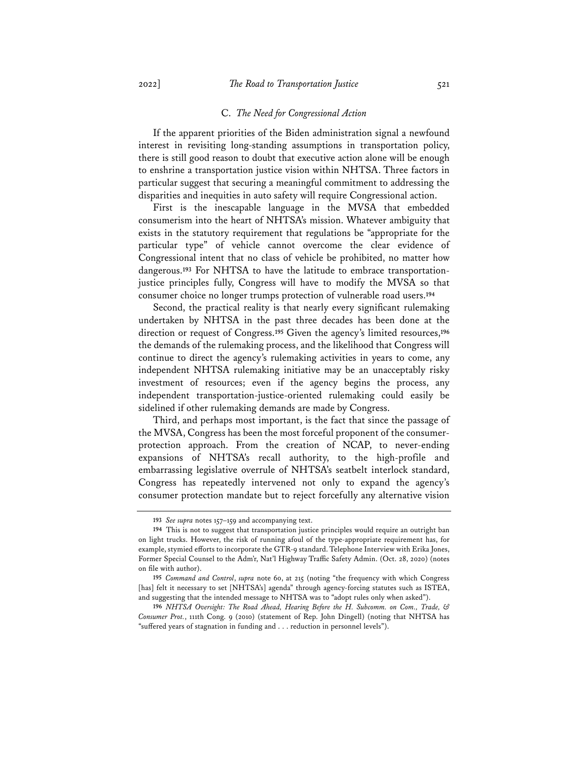#### C. *The Need for Congressional Action*

If the apparent priorities of the Biden administration signal a newfound interest in revisiting long-standing assumptions in transportation policy, there is still good reason to doubt that executive action alone will be enough to enshrine a transportation justice vision within NHTSA. Three factors in particular suggest that securing a meaningful commitment to addressing the disparities and inequities in auto safety will require Congressional action.

First is the inescapable language in the MVSA that embedded consumerism into the heart of NHTSA's mission. Whatever ambiguity that exists in the statutory requirement that regulations be "appropriate for the particular type" of vehicle cannot overcome the clear evidence of Congressional intent that no class of vehicle be prohibited, no matter how dangerous.**<sup>193</sup>** For NHTSA to have the latitude to embrace transportationjustice principles fully, Congress will have to modify the MVSA so that consumer choice no longer trumps protection of vulnerable road users.**<sup>194</sup>**

Second, the practical reality is that nearly every significant rulemaking undertaken by NHTSA in the past three decades has been done at the direction or request of Congress.**<sup>195</sup>** Given the agency's limited resources,**<sup>196</sup>** the demands of the rulemaking process, and the likelihood that Congress will continue to direct the agency's rulemaking activities in years to come, any independent NHTSA rulemaking initiative may be an unacceptably risky investment of resources; even if the agency begins the process, any independent transportation-justice-oriented rulemaking could easily be sidelined if other rulemaking demands are made by Congress.

Third, and perhaps most important, is the fact that since the passage of the MVSA, Congress has been the most forceful proponent of the consumerprotection approach. From the creation of NCAP, to never-ending expansions of NHTSA's recall authority, to the high-profile and embarrassing legislative overrule of NHTSA's seatbelt interlock standard, Congress has repeatedly intervened not only to expand the agency's consumer protection mandate but to reject forcefully any alternative vision

**<sup>193</sup>** *See supra* notes 157–159 and accompanying text.

**<sup>194</sup>** This is not to suggest that transportation justice principles would require an outright ban on light trucks. However, the risk of running afoul of the type-appropriate requirement has, for example, stymied efforts to incorporate the GTR-9 standard. Telephone Interview with Erika Jones, Former Special Counsel to the Adm'r, Nat'l Highway Traffic Safety Admin. (Oct. 28, 2020) (notes on file with author).

**<sup>195</sup>** *Command and Control*, *supra* note 60, at 215 (noting "the frequency with which Congress [has] felt it necessary to set [NHTSA's] agenda" through agency-forcing statutes such as ISTEA, and suggesting that the intended message to NHTSA was to "adopt rules only when asked").

**<sup>196</sup>** *NHTSA Oversight: The Road Ahead, Hearing Before the H. Subcomm. on Com., Trade, & Consumer Prot.*, 111th Cong. 9 (2010) (statement of Rep. John Dingell) (noting that NHTSA has "suffered years of stagnation in funding and . . . reduction in personnel levels").